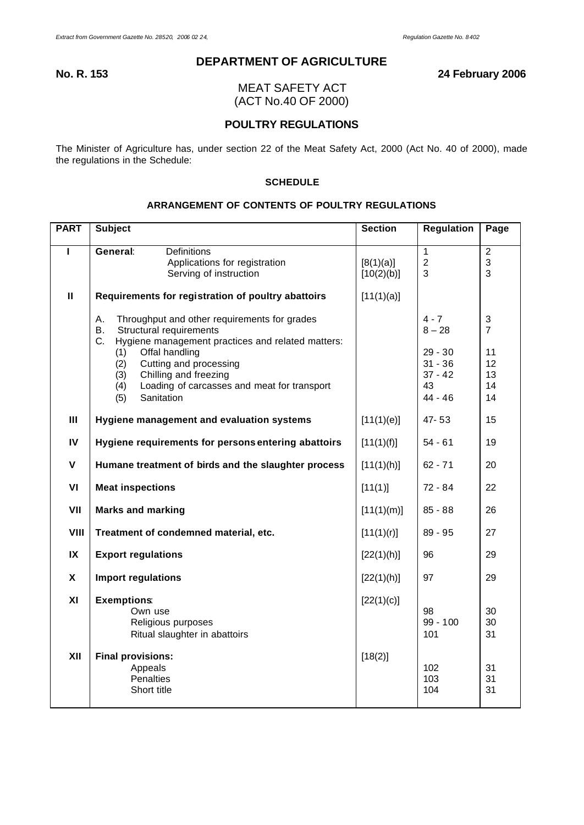# **DEPARTMENT OF AGRICULTURE**

**No. R. 153 24 February 2006**

MEAT SAFETY ACT (ACT No.40 OF 2000)

# **POULTRY REGULATIONS**

The Minister of Agriculture has, under section 22 of the Meat Safety Act, 2000 (Act No. 40 of 2000), made the regulations in the Schedule:

# **SCHEDULE**

# **ARRANGEMENT OF CONTENTS OF POULTRY REGULATIONS**

| <b>PART</b>   | <b>Subject</b>                                                                                                                                                                                                                                                                                                      | <b>Section</b>          | <b>Regulation</b>                                                             | Page                                                                      |
|---------------|---------------------------------------------------------------------------------------------------------------------------------------------------------------------------------------------------------------------------------------------------------------------------------------------------------------------|-------------------------|-------------------------------------------------------------------------------|---------------------------------------------------------------------------|
| п             | General:<br><b>Definitions</b><br>Applications for registration<br>Serving of instruction                                                                                                                                                                                                                           | [8(1)(a)]<br>[10(2)(b)] | $\mathbf{1}$<br>$\overline{c}$<br>3                                           | $\overline{2}$<br>3<br>3                                                  |
| $\mathbf{H}$  | Requirements for registration of poultry abattoirs                                                                                                                                                                                                                                                                  | [11(1)(a)]              |                                                                               |                                                                           |
|               | А.<br>Throughput and other requirements for grades<br>Structural requirements<br>В.<br>C.<br>Hygiene management practices and related matters:<br>Offal handling<br>(1)<br>Cutting and processing<br>(2)<br>Chilling and freezing<br>(3)<br>(4)<br>Loading of carcasses and meat for transport<br>Sanitation<br>(5) |                         | $4 - 7$<br>$8 - 28$<br>$29 - 30$<br>$31 - 36$<br>$37 - 42$<br>43<br>$44 - 46$ | $\ensuremath{\mathsf{3}}$<br>$\overline{7}$<br>11<br>12<br>13<br>14<br>14 |
| III           | Hygiene management and evaluation systems                                                                                                                                                                                                                                                                           | [11(1)(e)]              | 47-53                                                                         | 15                                                                        |
| $\mathsf{IV}$ | Hygiene requirements for persons entering abattoirs                                                                                                                                                                                                                                                                 | [11(1)(f)]              | 54 - 61                                                                       | 19                                                                        |
| $\mathsf{V}$  | Humane treatment of birds and the slaughter process                                                                                                                                                                                                                                                                 | [11(1)(h)]              | $62 - 71$                                                                     | 20                                                                        |
| VI            | <b>Meat inspections</b>                                                                                                                                                                                                                                                                                             | [11(1)]                 | 72 - 84                                                                       | 22                                                                        |
| VII           | <b>Marks and marking</b>                                                                                                                                                                                                                                                                                            | [11(1)(m)]              | $85 - 88$                                                                     | 26                                                                        |
| VIII          | Treatment of condemned material, etc.                                                                                                                                                                                                                                                                               | [11(1)(r)]              | $89 - 95$                                                                     | 27                                                                        |
| IX            | <b>Export regulations</b>                                                                                                                                                                                                                                                                                           | [22(1)(h)]              | 96                                                                            | 29                                                                        |
| X             | Import regulations                                                                                                                                                                                                                                                                                                  | [22(1)(h)]              | 97                                                                            | 29                                                                        |
| XI            | <b>Exemptions:</b><br>Own use<br>Religious purposes<br>Ritual slaughter in abattoirs                                                                                                                                                                                                                                | [22(1)(c)]              | 98<br>$99 - 100$<br>101                                                       | 30<br>30<br>31                                                            |
| XII           | <b>Final provisions:</b><br>Appeals<br>Penalties<br>Short title                                                                                                                                                                                                                                                     | [18(2)]                 | 102<br>103<br>104                                                             | 31<br>31<br>31                                                            |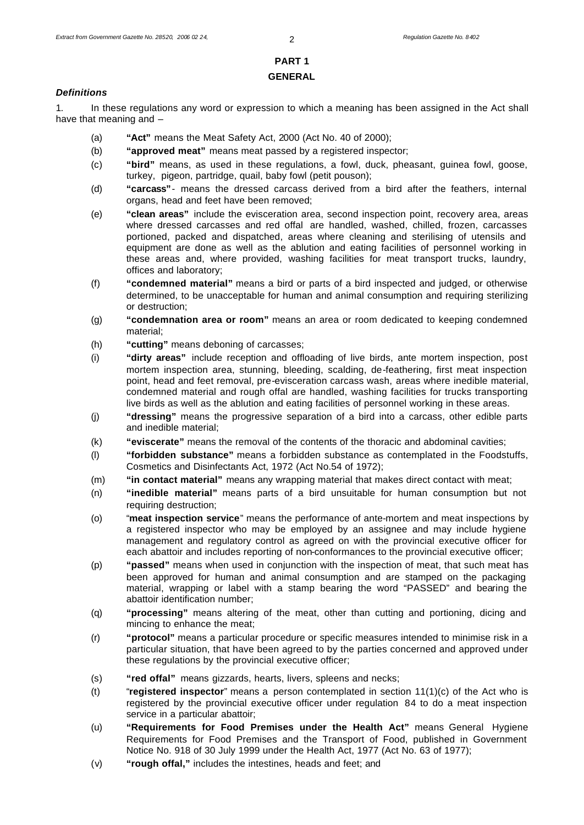# **PART 1 GENERAL**

### *Definitions*

1. In these regulations any word or expression to which a meaning has been assigned in the Act shall have that meaning and –

- (a) **"Act"** means the Meat Safety Act, 2000 (Act No. 40 of 2000);
- (b) **"approved meat"** means meat passed by a registered inspector;
- (c) **"bird"** means, as used in these regulations, a fowl, duck, pheasant, guinea fowl, goose, turkey, pigeon, partridge, quail, baby fowl (petit pouson);
- (d) **"carcass"** means the dressed carcass derived from a bird after the feathers, internal organs, head and feet have been removed;
- (e) **"clean areas"** include the evisceration area, second inspection point, recovery area, areas where dressed carcasses and red offal are handled, washed, chilled, frozen, carcasses portioned, packed and dispatched, areas where cleaning and sterilising of utensils and equipment are done as well as the ablution and eating facilities of personnel working in these areas and, where provided, washing facilities for meat transport trucks, laundry, offices and laboratory;
- (f) **"condemned material"** means a bird or parts of a bird inspected and judged, or otherwise determined, to be unacceptable for human and animal consumption and requiring sterilizing or destruction;
- (g) **"condemnation area or room"** means an area or room dedicated to keeping condemned material;
- (h) **"cutting"** means deboning of carcasses;
- (i) **"dirty areas"** include reception and offloading of live birds, ante mortem inspection, post mortem inspection area, stunning, bleeding, scalding, de-feathering, first meat inspection point, head and feet removal, pre-evisceration carcass wash, areas where inedible material, condemned material and rough offal are handled, washing facilities for trucks transporting live birds as well as the ablution and eating facilities of personnel working in these areas.
- (j) **"dressing"** means the progressive separation of a bird into a carcass, other edible parts and inedible material;
- (k) **"eviscerate"** means the removal of the contents of the thoracic and abdominal cavities;
- (l) **"forbidden substance"** means a forbidden substance as contemplated in the Foodstuffs, Cosmetics and Disinfectants Act, 1972 (Act No.54 of 1972);
- (m) **"in contact material"** means any wrapping material that makes direct contact with meat;
- (n) **"inedible material"** means parts of a bird unsuitable for human consumption but not requiring destruction;
- (o) "**meat inspection service**" means the performance of ante-mortem and meat inspections by a registered inspector who may be employed by an assignee and may include hygiene management and regulatory control as agreed on with the provincial executive officer for each abattoir and includes reporting of non-conformances to the provincial executive officer;
- (p) **"passed"** means when used in conjunction with the inspection of meat, that such meat has been approved for human and animal consumption and are stamped on the packaging material, wrapping or label with a stamp bearing the word "PASSED" and bearing the abattoir identification number;
- (q) **"processing"** means altering of the meat, other than cutting and portioning, dicing and mincing to enhance the meat;
- (r) **"protocol"** means a particular procedure or specific measures intended to minimise risk in a particular situation, that have been agreed to by the parties concerned and approved under these regulations by the provincial executive officer;
- (s) **"red offal"** means gizzards, hearts, livers, spleens and necks;
- (t) "**registered inspector**" means a person contemplated in section 11(1)(c) of the Act who is registered by the provincial executive officer under regulation 84 to do a meat inspection service in a particular abattoir;
- (u) **"Requirements for Food Premises under the Health Act"** means General Hygiene Requirements for Food Premises and the Transport of Food, published in Government Notice No. 918 of 30 July 1999 under the Health Act, 1977 (Act No. 63 of 1977);
- (v) **"rough offal,"** includes the intestines, heads and feet; and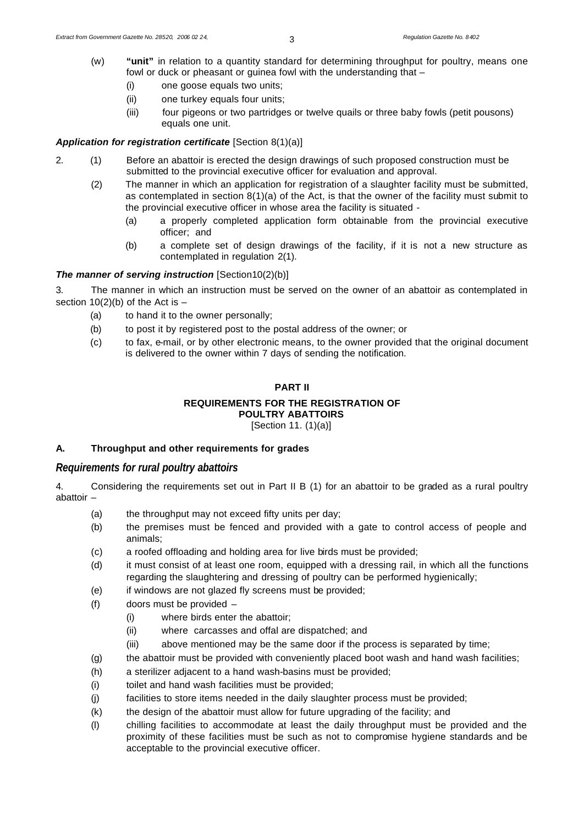- (w) **"unit"** in relation to a quantity standard for determining throughput for poultry, means one fowl or duck or pheasant or guinea fowl with the understanding that –
	- (i) one goose equals two units;
	- (ii) one turkey equals four units;
	- (iii) four pigeons or two partridges or twelve quails or three baby fowls (petit pousons) equals one unit.

#### *Application for registration certificate* [Section 8(1)(a)]

- 2. (1) Before an abattoir is erected the design drawings of such proposed construction must be submitted to the provincial executive officer for evaluation and approval.
	- (2) The manner in which an application for registration of a slaughter facility must be submitted, as contemplated in section 8(1)(a) of the Act, is that the owner of the facility must submit to the provincial executive officer in whose area the facility is situated -
		- (a) a properly completed application form obtainable from the provincial executive officer; and
		- (b) a complete set of design drawings of the facility, if it is not a new structure as contemplated in regulation 2(1).

### *The manner of serving instruction* [Section10(2)(b)]

3. The manner in which an instruction must be served on the owner of an abattoir as contemplated in section  $10(2)(b)$  of the Act is  $-$ 

- (a) to hand it to the owner personally;
- (b) to post it by registered post to the postal address of the owner; or
- (c) to fax, e-mail, or by other electronic means, to the owner provided that the original document is delivered to the owner within 7 days of sending the notification.

# **PART II**

#### **REQUIREMENTS FOR THE REGISTRATION OF POULTRY ABATTOIRS**

[Section 11. (1)(a)]

# **A. Throughput and other requirements for grades**

# *Requirements for rural poultry abattoirs*

4. Considering the requirements set out in Part II B (1) for an abattoir to be graded as a rural poultry abattoir –

- (a) the throughput may not exceed fifty units per day;
- (b) the premises must be fenced and provided with a gate to control access of people and animals;
- (c) a roofed offloading and holding area for live birds must be provided;
- (d) it must consist of at least one room, equipped with a dressing rail, in which all the functions regarding the slaughtering and dressing of poultry can be performed hygienically;
- (e) if windows are not glazed fly screens must be provided;
- (f) doors must be provided
	- (i) where birds enter the abattoir;
	- (ii) where carcasses and offal are dispatched; and
	- (iii) above mentioned may be the same door if the process is separated by time;
- (g) the abattoir must be provided with conveniently placed boot wash and hand wash facilities;
- (h) a sterilizer adjacent to a hand wash-basins must be provided;
- (i) toilet and hand wash facilities must be provided;
- (j) facilities to store items needed in the daily slaughter process must be provided;
- (k) the design of the abattoir must allow for future upgrading of the facility; and
- (l) chilling facilities to accommodate at least the daily throughput must be provided and the proximity of these facilities must be such as not to compromise hygiene standards and be acceptable to the provincial executive officer.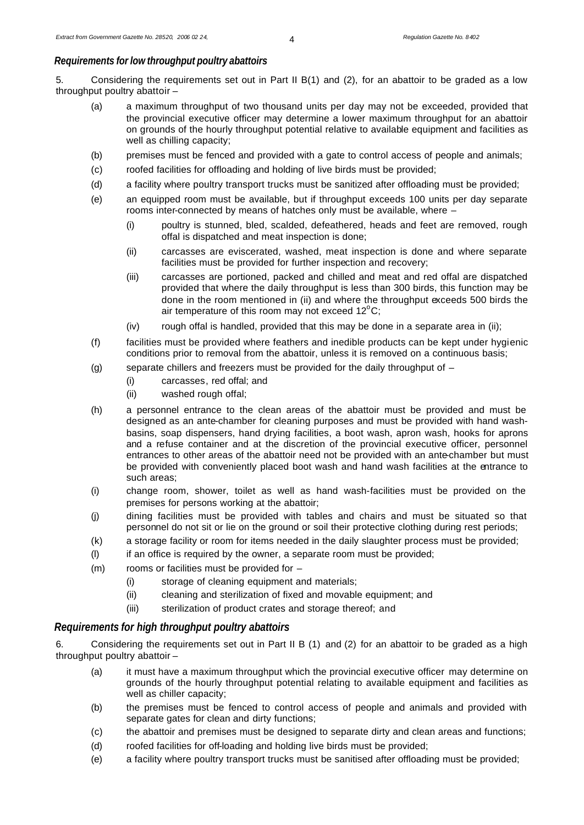# *Requirements for low throughput poultry abattoirs*

5. Considering the requirements set out in Part II B(1) and (2), for an abattoir to be graded as a low throughput poultry abattoir –

- (a) a maximum throughput of two thousand units per day may not be exceeded, provided that the provincial executive officer may determine a lower maximum throughput for an abattoir on grounds of the hourly throughput potential relative to available equipment and facilities as well as chilling capacity;
- (b) premises must be fenced and provided with a gate to control access of people and animals;
- (c) roofed facilities for offloading and holding of live birds must be provided;
- (d) a facility where poultry transport trucks must be sanitized after offloading must be provided;
- (e) an equipped room must be available, but if throughput exceeds 100 units per day separate rooms inter-connected by means of hatches only must be available, where –
	- (i) poultry is stunned, bled, scalded, defeathered, heads and feet are removed, rough offal is dispatched and meat inspection is done;
	- (ii) carcasses are eviscerated, washed, meat inspection is done and where separate facilities must be provided for further inspection and recovery;
	- (iii) carcasses are portioned, packed and chilled and meat and red offal are dispatched provided that where the daily throughput is less than 300 birds, this function may be done in the room mentioned in (ii) and where the throughput exceeds 500 birds the air temperature of this room may not exceed  $12^{\circ}$ C;
	- (iv) rough offal is handled, provided that this may be done in a separate area in (ii);
- (f) facilities must be provided where feathers and inedible products can be kept under hygienic conditions prior to removal from the abattoir, unless it is removed on a continuous basis;
- (g) separate chillers and freezers must be provided for the daily throughput of
	- (i) carcasses, red offal; and
	- (ii) washed rough offal;
- (h) a personnel entrance to the clean areas of the abattoir must be provided and must be designed as an ante-chamber for cleaning purposes and must be provided with hand washbasins, soap dispensers, hand drying facilities, a boot wash, apron wash, hooks for aprons and a refuse container and at the discretion of the provincial executive officer, personnel entrances to other areas of the abattoir need not be provided with an ante-chamber but must be provided with conveniently placed boot wash and hand wash facilities at the entrance to such areas;
- (i) change room, shower, toilet as well as hand wash-facilities must be provided on the premises for persons working at the abattoir;
- (j) dining facilities must be provided with tables and chairs and must be situated so that personnel do not sit or lie on the ground or soil their protective clothing during rest periods;
- (k) a storage facility or room for items needed in the daily slaughter process must be provided;
- (l) if an office is required by the owner, a separate room must be provided;
- (m) rooms or facilities must be provided for
	- (i) storage of cleaning equipment and materials;
	- (ii) cleaning and sterilization of fixed and movable equipment; and
	- (iii) sterilization of product crates and storage thereof; and

# *Requirements for high throughput poultry abattoirs*

6. Considering the requirements set out in Part II B (1) and (2) for an abattoir to be graded as a high throughput poultry abattoir –

- (a) it must have a maximum throughput which the provincial executive officer may determine on grounds of the hourly throughput potential relating to available equipment and facilities as well as chiller capacity;
- (b) the premises must be fenced to control access of people and animals and provided with separate gates for clean and dirty functions;
- (c) the abattoir and premises must be designed to separate dirty and clean areas and functions;
- (d) roofed facilities for off-loading and holding live birds must be provided;
- (e) a facility where poultry transport trucks must be sanitised after offloading must be provided;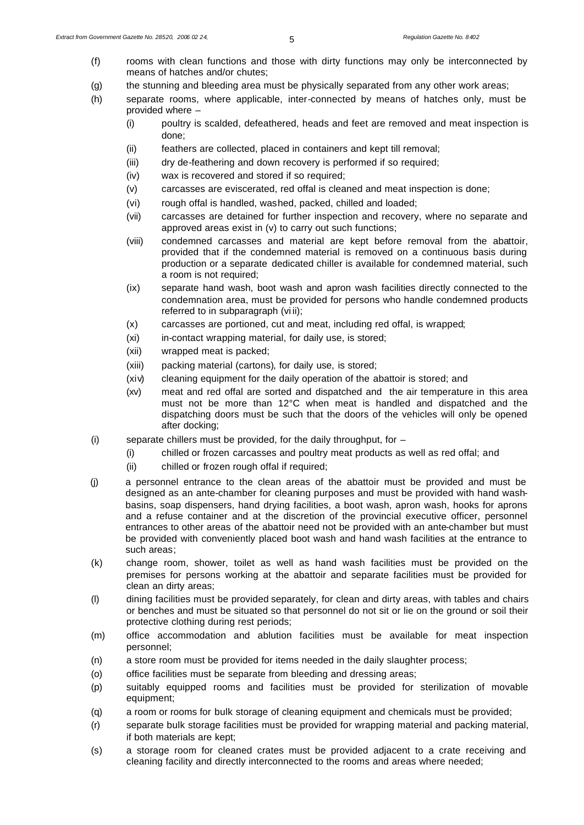- (f) rooms with clean functions and those with dirty functions may only be interconnected by means of hatches and/or chutes;
- (g) the stunning and bleeding area must be physically separated from any other work areas;
- (h) separate rooms, where applicable, inter-connected by means of hatches only, must be provided where –
	- (i) poultry is scalded, defeathered, heads and feet are removed and meat inspection is done;
	- (ii) feathers are collected, placed in containers and kept till removal;
	- (iii) dry de-feathering and down recovery is performed if so required;
	- (iv) wax is recovered and stored if so required;
	- (v) carcasses are eviscerated, red offal is cleaned and meat inspection is done;
	- (vi) rough offal is handled, washed, packed, chilled and loaded;
	- (vii) carcasses are detained for further inspection and recovery, where no separate and approved areas exist in (v) to carry out such functions;
	- (viii) condemned carcasses and material are kept before removal from the abattoir, provided that if the condemned material is removed on a continuous basis during production or a separate dedicated chiller is available for condemned material, such a room is not required;
	- (ix) separate hand wash, boot wash and apron wash facilities directly connected to the condemnation area, must be provided for persons who handle condemned products referred to in subparagraph (vi ii);
	- (x) carcasses are portioned, cut and meat, including red offal, is wrapped;
	- (xi) in-contact wrapping material, for daily use, is stored;
	- (xii) wrapped meat is packed;
	- (xiii) packing material (cartons), for daily use, is stored;
	- (xiv) cleaning equipment for the daily operation of the abattoir is stored; and
	- (xv) meat and red offal are sorted and dispatched and the air temperature in this area must not be more than 12°C when meat is handled and dispatched and the dispatching doors must be such that the doors of the vehicles will only be opened after docking;
- (i) separate chillers must be provided, for the daily throughput, for  $-$ 
	- (i) chilled or frozen carcasses and poultry meat products as well as red offal; and
	- (ii) chilled or frozen rough offal if required;
- (j) a personnel entrance to the clean areas of the abattoir must be provided and must be designed as an ante-chamber for cleaning purposes and must be provided with hand washbasins, soap dispensers, hand drying facilities, a boot wash, apron wash, hooks for aprons and a refuse container and at the discretion of the provincial executive officer, personnel entrances to other areas of the abattoir need not be provided with an ante-chamber but must be provided with conveniently placed boot wash and hand wash facilities at the entrance to such areas;
- (k) change room, shower, toilet as well as hand wash facilities must be provided on the premises for persons working at the abattoir and separate facilities must be provided for clean an dirty areas;
- (l) dining facilities must be provided separately, for clean and dirty areas, with tables and chairs or benches and must be situated so that personnel do not sit or lie on the ground or soil their protective clothing during rest periods;
- (m) office accommodation and ablution facilities must be available for meat inspection personnel;
- (n) a store room must be provided for items needed in the daily slaughter process;
- (o) office facilities must be separate from bleeding and dressing areas;
- (p) suitably equipped rooms and facilities must be provided for sterilization of movable equipment;
- (q) a room or rooms for bulk storage of cleaning equipment and chemicals must be provided;
- (r) separate bulk storage facilities must be provided for wrapping material and packing material, if both materials are kept;
- (s) a storage room for cleaned crates must be provided adjacent to a crate receiving and cleaning facility and directly interconnected to the rooms and areas where needed;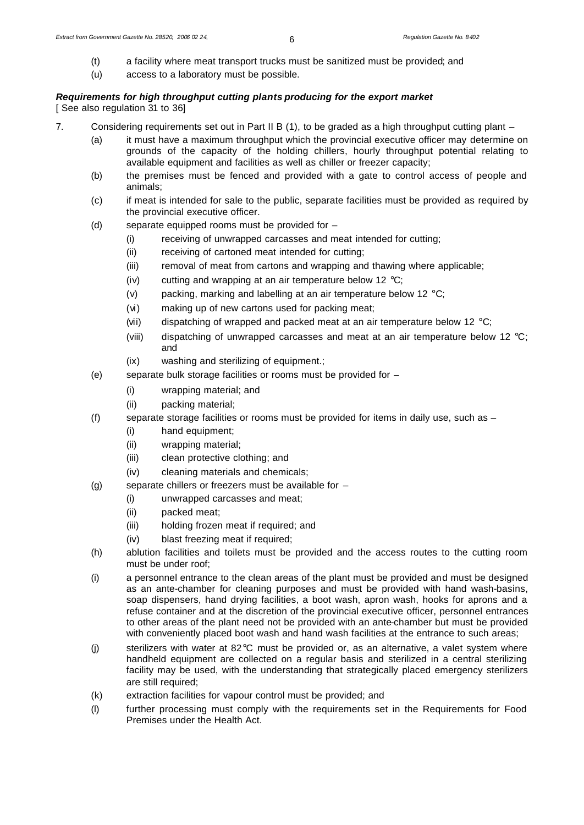- (t) a facility where meat transport trucks must be sanitized must be provided; and
- (u) access to a laboratory must be possible.

## *Requirements for high throughput cutting plants producing for the export market* [ See also regulation 31 to 36]

- 7. Considering requirements set out in Part II B (1), to be graded as a high throughput cutting plant
	- (a) it must have a maximum throughput which the provincial executive officer may determine on grounds of the capacity of the holding chillers, hourly throughput potential relating to available equipment and facilities as well as chiller or freezer capacity;
	- (b) the premises must be fenced and provided with a gate to control access of people and animals;
	- (c) if meat is intended for sale to the public, separate facilities must be provided as required by the provincial executive officer.
	- (d) separate equipped rooms must be provided for  $-$ 
		- (i) receiving of unwrapped carcasses and meat intended for cutting;
		- (ii) receiving of cartoned meat intended for cutting;
		- (iii) removal of meat from cartons and wrapping and thawing where applicable;
		- (iv) cutting and wrapping at an air temperature below 12  $\mathrm{C}$ ;
		- (v) packing, marking and labelling at an air temperature below 12  $\mathrm{^{\circ}C}$ ;
		- (vi) making up of new cartons used for packing meat;
		- (vii) dispatching of wrapped and packed meat at an air temperature below 12  $^{\circ}$ C;
		- (viii) dispatching of unwrapped carcasses and meat at an air temperature below 12  $^{\circ}$ C; and
		- (ix) washing and sterilizing of equipment.;
	- (e) separate bulk storage facilities or rooms must be provided for
		- (i) wrapping material; and
		- (ii) packing material;
	- (f) separate storage facilities or rooms must be provided for items in daily use, such as  $-$ 
		- (i) hand equipment;
		- (ii) wrapping material;
		- (iii) clean protective clothing; and
		- (iv) cleaning materials and chemicals;
	- (g) separate chillers or freezers must be available for  $-$ 
		- (i) unwrapped carcasses and meat;
		- (ii) packed meat;
		- (iii) holding frozen meat if required; and
		- (iv) blast freezing meat if required;
	- (h) ablution facilities and toilets must be provided and the access routes to the cutting room must be under roof;
	- (i) a personnel entrance to the clean areas of the plant must be provided and must be designed as an ante-chamber for cleaning purposes and must be provided with hand wash-basins, soap dispensers, hand drying facilities, a boot wash, apron wash, hooks for aprons and a refuse container and at the discretion of the provincial executive officer, personnel entrances to other areas of the plant need not be provided with an ante-chamber but must be provided with conveniently placed boot wash and hand wash facilities at the entrance to such areas;
	- (j) sterilizers with water at 82°C must be provided or, as an alternative, a valet system where handheld equipment are collected on a regular basis and sterilized in a central sterilizing facility may be used, with the understanding that strategically placed emergency sterilizers are still required;
	- (k) extraction facilities for vapour control must be provided; and
	- (l) further processing must comply with the requirements set in the Requirements for Food Premises under the Health Act.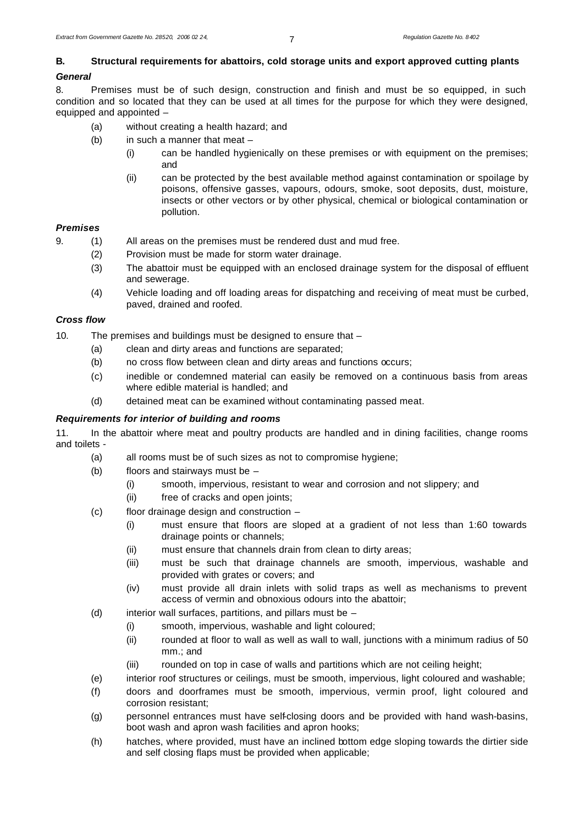# **B. Structural requirements for abattoirs, cold storage units and export approved cutting plants**

# *General*

8. Premises must be of such design, construction and finish and must be so equipped, in such condition and so located that they can be used at all times for the purpose for which they were designed, equipped and appointed –

- (a) without creating a health hazard; and
- (b) in such a manner that meat
	- (i) can be handled hygienically on these premises or with equipment on the premises; and
	- (ii) can be protected by the best available method against contamination or spoilage by poisons, offensive gasses, vapours, odours, smoke, soot deposits, dust, moisture, insects or other vectors or by other physical, chemical or biological contamination or pollution.

## *Premises*

- 9. (1) All areas on the premises must be rendered dust and mud free.
	- (2) Provision must be made for storm water drainage.
	- (3) The abattoir must be equipped with an enclosed drainage system for the disposal of effluent and sewerage.
	- (4) Vehicle loading and off loading areas for dispatching and receiving of meat must be curbed, paved, drained and roofed.

# *Cross flow*

10. The premises and buildings must be designed to ensure that –

- (a) clean and dirty areas and functions are separated;
- (b) no cross flow between clean and dirty areas and functions occurs;
- (c) inedible or condemned material can easily be removed on a continuous basis from areas where edible material is handled; and
- (d) detained meat can be examined without contaminating passed meat.

# *Requirements for interior of building and rooms*

11. In the abattoir where meat and poultry products are handled and in dining facilities, change rooms and toilets -

- (a) all rooms must be of such sizes as not to compromise hygiene;
- (b) floors and stairways must be
	- (i) smooth, impervious, resistant to wear and corrosion and not slippery; and
	- (ii) free of cracks and open joints;
- (c) floor drainage design and construction
	- (i) must ensure that floors are sloped at a gradient of not less than 1:60 towards drainage points or channels;
	- (ii) must ensure that channels drain from clean to dirty areas;
	- (iii) must be such that drainage channels are smooth, impervious, washable and provided with grates or covers; and
	- (iv) must provide all drain inlets with solid traps as well as mechanisms to prevent access of vermin and obnoxious odours into the abattoir;
- (d) interior wall surfaces, partitions, and pillars must be  $-$ 
	- (i) smooth, impervious, washable and light coloured;
	- (ii) rounded at floor to wall as well as wall to wall, junctions with a minimum radius of 50 mm.; and
	- (iii) rounded on top in case of walls and partitions which are not ceiling height;
- (e) interior roof structures or ceilings, must be smooth, impervious, light coloured and washable;
- (f) doors and doorframes must be smooth, impervious, vermin proof, light coloured and corrosion resistant;
- (g) personnel entrances must have self-closing doors and be provided with hand wash-basins, boot wash and apron wash facilities and apron hooks;
- (h) hatches, where provided, must have an inclined bottom edge sloping towards the dirtier side and self closing flaps must be provided when applicable;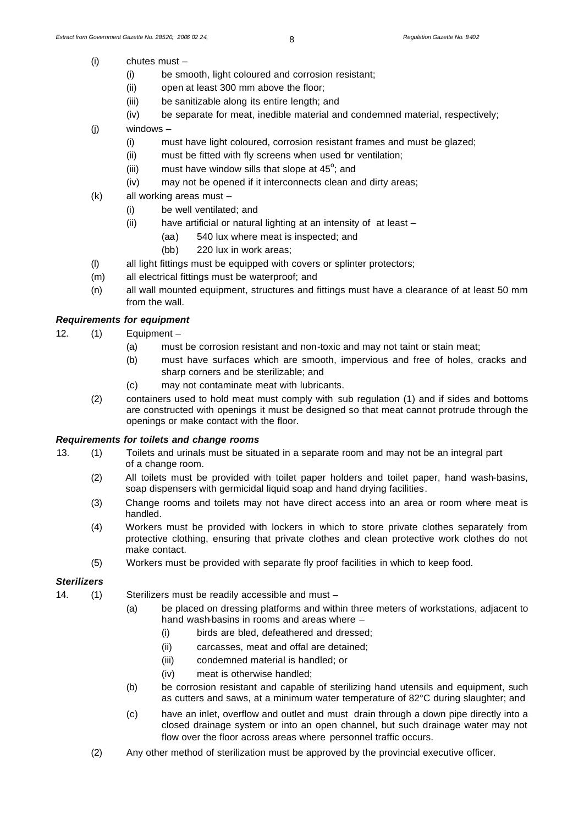- (i) chutes must
	- (i) be smooth, light coloured and corrosion resistant;
	- (ii) open at least 300 mm above the floor;
	- (iii) be sanitizable along its entire length; and
	- (iv) be separate for meat, inedible material and condemned material, respectively;
- (j) windows
	- (i) must have light coloured, corrosion resistant frames and must be glazed;
	- (ii) must be fitted with fly screens when used for ventilation;
	- (iii) must have window sills that slope at  $45^\circ$ ; and
	- (iv) may not be opened if it interconnects clean and dirty areas;
- (k) all working areas must
	- (i) be well ventilated; and
	- (ii) have artificial or natural lighting at an intensity of at least
		- (aa) 540 lux where meat is inspected; and
			- (bb) 220 lux in work areas;
- (l) all light fittings must be equipped with covers or splinter protectors;
- (m) all electrical fittings must be waterproof; and
- (n) all wall mounted equipment, structures and fittings must have a clearance of at least 50 mm from the wall.

# *Requirements for equipment*

- 12. (1) Equipment
	- (a) must be corrosion resistant and non-toxic and may not taint or stain meat;
	- (b) must have surfaces which are smooth, impervious and free of holes, cracks and sharp corners and be sterilizable; and
	- (c) may not contaminate meat with lubricants.
	- (2) containers used to hold meat must comply with sub regulation (1) and if sides and bottoms are constructed with openings it must be designed so that meat cannot protrude through the openings or make contact with the floor.

#### *Requirements for toilets and change rooms*

- 13. (1) Toilets and urinals must be situated in a separate room and may not be an integral part of a change room.
	- (2) All toilets must be provided with toilet paper holders and toilet paper, hand wash-basins, soap dispensers with germicidal liquid soap and hand drying facilities.
	- (3) Change rooms and toilets may not have direct access into an area or room where meat is handled.
	- (4) Workers must be provided with lockers in which to store private clothes separately from protective clothing, ensuring that private clothes and clean protective work clothes do not make contact.
	- (5) Workers must be provided with separate fly proof facilities in which to keep food.

#### *Sterilizers*

- 14. (1) Sterilizers must be readily accessible and must
	- (a) be placed on dressing platforms and within three meters of workstations, adjacent to hand wash-basins in rooms and areas where
		- (i) birds are bled, defeathered and dressed;
		- (ii) carcasses, meat and offal are detained;
		- (iii) condemned material is handled; or
		- (iv) meat is otherwise handled;
	- (b) be corrosion resistant and capable of sterilizing hand utensils and equipment, such as cutters and saws, at a minimum water temperature of 82°C during slaughter; and
	- (c) have an inlet, overflow and outlet and must drain through a down pipe directly into a closed drainage system or into an open channel, but such drainage water may not flow over the floor across areas where personnel traffic occurs.
	- (2) Any other method of sterilization must be approved by the provincial executive officer.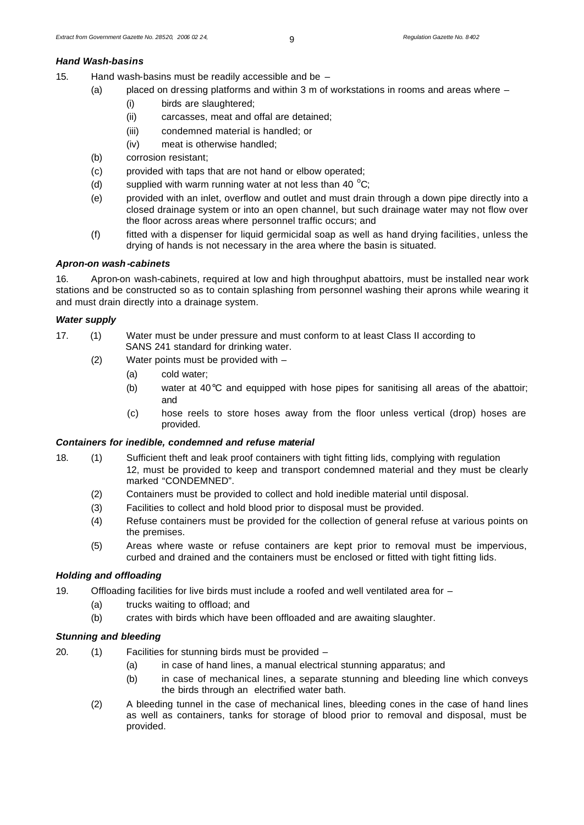#### *Hand Wash-basins*

- 15. Hand wash-basins must be readily accessible and be
	- (a) placed on dressing platforms and within 3 m of workstations in rooms and areas where
		- (i) birds are slaughtered;
		- (ii) carcasses, meat and offal are detained;
		- (iii) condemned material is handled; or
		- (iv) meat is otherwise handled;
	- (b) corrosion resistant;
	- (c) provided with taps that are not hand or elbow operated;
	- (d) supplied with warm running water at not less than 40  $^{\circ}$ C;
	- (e) provided with an inlet, overflow and outlet and must drain through a down pipe directly into a closed drainage system or into an open channel, but such drainage water may not flow over the floor across areas where personnel traffic occurs; and
	- (f) fitted with a dispenser for liquid germicidal soap as well as hand drying facilities, unless the drying of hands is not necessary in the area where the basin is situated.

## *Apron-on wash-cabinets*

16. Apron-on wash-cabinets, required at low and high throughput abattoirs, must be installed near work stations and be constructed so as to contain splashing from personnel washing their aprons while wearing it and must drain directly into a drainage system.

### *Water supply*

- 17. (1) Water must be under pressure and must conform to at least Class II according to SANS 241 standard for drinking water.
	- (2) Water points must be provided with
		- (a) cold water;
		- (b) water at  $40^{\circ}$ C and equipped with hose pipes for sanitising all areas of the abattoir; and
		- (c) hose reels to store hoses away from the floor unless vertical (drop) hoses are provided.

## *Containers for inedible, condemned and refuse material*

- 18. (1) Sufficient theft and leak proof containers with tight fitting lids, complying with regulation 12, must be provided to keep and transport condemned material and they must be clearly marked "CONDEMNED".
	- (2) Containers must be provided to collect and hold inedible material until disposal.
	- (3) Facilities to collect and hold blood prior to disposal must be provided.
	- (4) Refuse containers must be provided for the collection of general refuse at various points on the premises.
	- (5) Areas where waste or refuse containers are kept prior to removal must be impervious, curbed and drained and the containers must be enclosed or fitted with tight fitting lids.

# *Holding and offloading*

- 19. Offloading facilities for live birds must include a roofed and well ventilated area for
	- (a) trucks waiting to offload; and
	- (b) crates with birds which have been offloaded and are awaiting slaughter.

# *Stunning and bleeding*

- 20. (1) Facilities for stunning birds must be provided
	- (a) in case of hand lines, a manual electrical stunning apparatus; and
	- (b) in case of mechanical lines, a separate stunning and bleeding line which conveys the birds through an electrified water bath.
	- (2) A bleeding tunnel in the case of mechanical lines, bleeding cones in the case of hand lines as well as containers, tanks for storage of blood prior to removal and disposal, must be provided.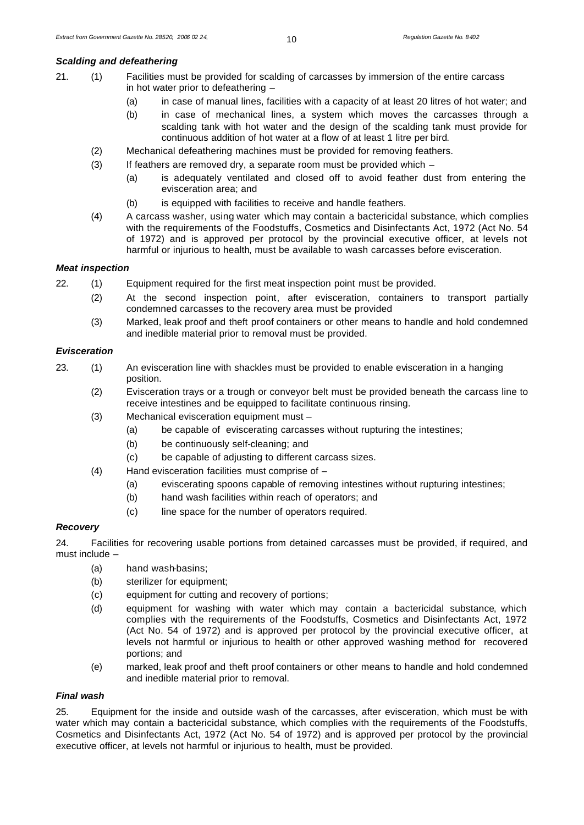## *Scalding and defeathering*

- 21. (1) Facilities must be provided for scalding of carcasses by immersion of the entire carcass in hot water prior to defeathering –
	- (a) in case of manual lines, facilities with a capacity of at least 20 litres of hot water; and
	- (b) in case of mechanical lines, a system which moves the carcasses through a scalding tank with hot water and the design of the scalding tank must provide for continuous addition of hot water at a flow of at least 1 litre per bird.
	- (2) Mechanical defeathering machines must be provided for removing feathers.
	- (3) If feathers are removed dry, a separate room must be provided which
		- (a) is adequately ventilated and closed off to avoid feather dust from entering the evisceration area; and
		- (b) is equipped with facilities to receive and handle feathers.
	- (4) A carcass washer, using water which may contain a bactericidal substance, which complies with the requirements of the Foodstuffs, Cosmetics and Disinfectants Act, 1972 (Act No. 54 of 1972) and is approved per protocol by the provincial executive officer, at levels not harmful or injurious to health, must be available to wash carcasses before evisceration.

### *Meat inspection*

- 22. (1) Equipment required for the first meat inspection point must be provided.
	- (2) At the second inspection point, after evisceration, containers to transport partially condemned carcasses to the recovery area must be provided
	- (3) Marked, leak proof and theft proof containers or other means to handle and hold condemned and inedible material prior to removal must be provided.

# *Evisceration*

- 23. (1) An evisceration line with shackles must be provided to enable evisceration in a hanging position.
	- (2) Evisceration trays or a trough or conveyor belt must be provided beneath the carcass line to receive intestines and be equipped to facilitate continuous rinsing.
	- (3) Mechanical evisceration equipment must
		- (a) be capable of eviscerating carcasses without rupturing the intestines;
		- (b) be continuously self-cleaning; and
		- (c) be capable of adjusting to different carcass sizes.
	- (4) Hand evisceration facilities must comprise of
		- (a) eviscerating spoons capable of removing intestines without rupturing intestines;
		- (b) hand wash facilities within reach of operators; and
		- (c) line space for the number of operators required.

## *Recovery*

24. Facilities for recovering usable portions from detained carcasses must be provided, if required, and must include –

- (a) hand wash-basins;
- (b) sterilizer for equipment;
- (c) equipment for cutting and recovery of portions;
- (d) equipment for washing with water which may contain a bactericidal substance, which complies with the requirements of the Foodstuffs, Cosmetics and Disinfectants Act, 1972 (Act No. 54 of 1972) and is approved per protocol by the provincial executive officer, at levels not harmful or injurious to health or other approved washing method for recovered portions; and
- (e) marked, leak proof and theft proof containers or other means to handle and hold condemned and inedible material prior to removal.

## *Final wash*

25. Equipment for the inside and outside wash of the carcasses, after evisceration, which must be with water which may contain a bactericidal substance, which complies with the requirements of the Foodstuffs, Cosmetics and Disinfectants Act, 1972 (Act No. 54 of 1972) and is approved per protocol by the provincial executive officer, at levels not harmful or injurious to health, must be provided.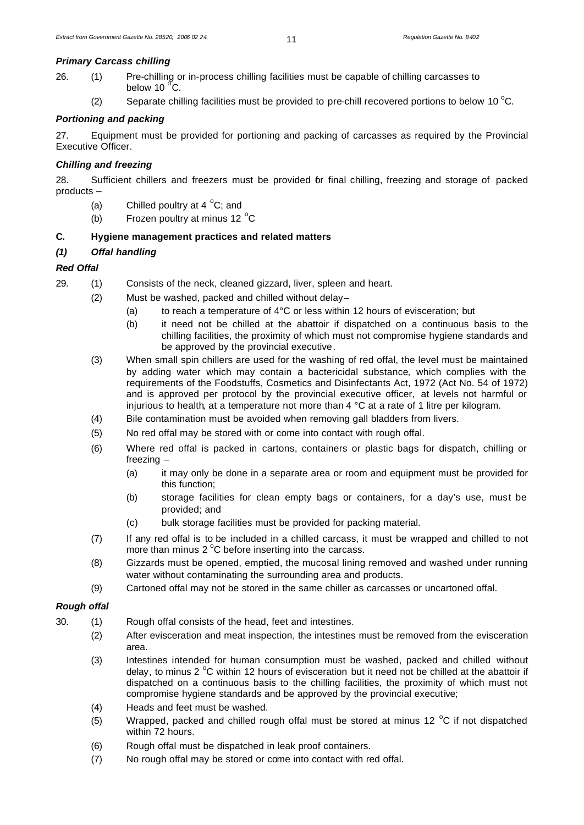### *Primary Carcass chilling*

- 26. (1) Pre-chilling or in-process chilling facilities must be capable of chilling carcasses to below 10 $\degree$ C.
	- (2) Separate chilling facilities must be provided to pre-chill recovered portions to below 10  $^{\circ}$ C.

# *Portioning and packing*

27. Equipment must be provided for portioning and packing of carcasses as required by the Provincial Executive Officer.

# *Chilling and freezing*

28. Sufficient chillers and freezers must be provided for final chilling, freezing and storage of packed products –

- (a) Chilled poultry at  $4^{\circ}$ C; and
- (b) Frozen poultry at minus 12 $\degree$ C

# **C. Hygiene management practices and related matters**

# *(1) Offal handling*

# *Red Offal*

- 29. (1) Consists of the neck, cleaned gizzard, liver, spleen and heart.
	- (2) Must be washed, packed and chilled without delay–
		- (a) to reach a temperature of 4°C or less within 12 hours of evisceration; but
		- (b) it need not be chilled at the abattoir if dispatched on a continuous basis to the chilling facilities, the proximity of which must not compromise hygiene standards and be approved by the provincial executive.
	- (3) When small spin chillers are used for the washing of red offal, the level must be maintained by adding water which may contain a bactericidal substance, which complies with the requirements of the Foodstuffs, Cosmetics and Disinfectants Act, 1972 (Act No. 54 of 1972) and is approved per protocol by the provincial executive officer, at levels not harmful or injurious to health, at a temperature not more than 4 °C at a rate of 1 litre per kilogram.
	- (4) Bile contamination must be avoided when removing gall bladders from livers.
	- (5) No red offal may be stored with or come into contact with rough offal.
	- (6) Where red offal is packed in cartons, containers or plastic bags for dispatch, chilling or freezing –
		- (a) it may only be done in a separate area or room and equipment must be provided for this function;
		- (b) storage facilities for clean empty bags or containers, for a day's use, must be provided; and
		- (c) bulk storage facilities must be provided for packing material.
	- (7) If any red offal is to be included in a chilled carcass, it must be wrapped and chilled to not more than minus  $2^{\circ}$ C before inserting into the carcass.
	- (8) Gizzards must be opened, emptied, the mucosal lining removed and washed under running water without contaminating the surrounding area and products.
	- (9) Cartoned offal may not be stored in the same chiller as carcasses or uncartoned offal.

# *Rough offal*

- 30. (1) Rough offal consists of the head, feet and intestines.
	- (2) After evisceration and meat inspection, the intestines must be removed from the evisceration area.
	- (3) Intestines intended for human consumption must be washed, packed and chilled without delay, to minus 2  $^{\circ}$ C within 12 hours of evisceration but it need not be chilled at the abattoir if dispatched on a continuous basis to the chilling facilities, the proximity of which must not compromise hygiene standards and be approved by the provincial executive;
	- (4) Heads and feet must be washed.
	- (5) Wrapped, packed and chilled rough offal must be stored at minus 12  $^{\circ}$ C if not dispatched within 72 hours.
	- (6) Rough offal must be dispatched in leak proof containers.
	- (7) No rough offal may be stored or come into contact with red offal.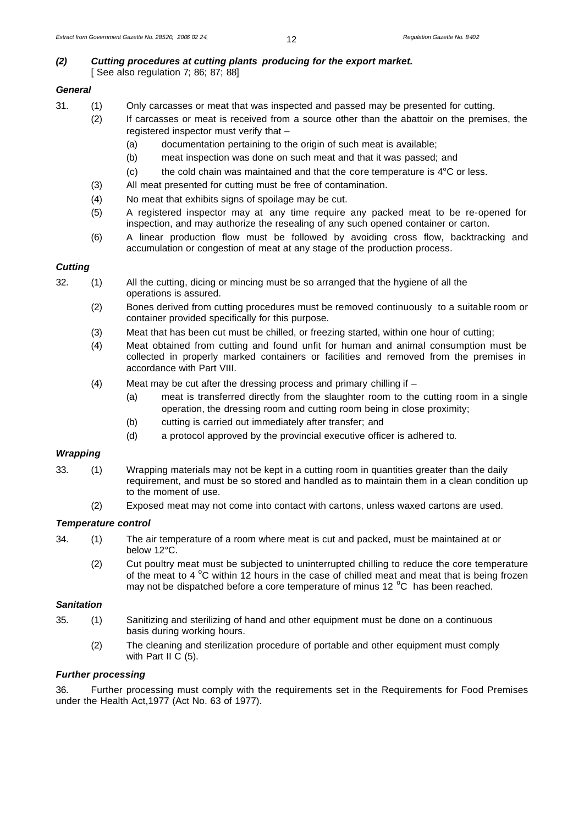# *(2) Cutting procedures at cutting plants producing for the export market.* [ See also regulation 7; 86; 87; 88]

# *General*

- 31. (1) Only carcasses or meat that was inspected and passed may be presented for cutting.
	- (2) If carcasses or meat is received from a source other than the abattoir on the premises, the registered inspector must verify that –
		- (a) documentation pertaining to the origin of such meat is available;
		- (b) meat inspection was done on such meat and that it was passed; and
		- $(c)$  the cold chain was maintained and that the core temperature is  $4^{\circ}$ C or less.
	- (3) All meat presented for cutting must be free of contamination.
	- (4) No meat that exhibits signs of spoilage may be cut.
	- (5) A registered inspector may at any time require any packed meat to be re-opened for inspection, and may authorize the resealing of any such opened container or carton.
	- (6) A linear production flow must be followed by avoiding cross flow, backtracking and accumulation or congestion of meat at any stage of the production process.

# *Cutting*

- 32. (1) All the cutting, dicing or mincing must be so arranged that the hygiene of all the operations is assured.
	- (2) Bones derived from cutting procedures must be removed continuously to a suitable room or container provided specifically for this purpose.
	- (3) Meat that has been cut must be chilled, or freezing started, within one hour of cutting;
	- (4) Meat obtained from cutting and found unfit for human and animal consumption must be collected in properly marked containers or facilities and removed from the premises in accordance with Part VIII.
	- (4) Meat may be cut after the dressing process and primary chilling if
		- (a) meat is transferred directly from the slaughter room to the cutting room in a single operation, the dressing room and cutting room being in close proximity;
		- (b) cutting is carried out immediately after transfer; and
		- (d) a protocol approved by the provincial executive officer is adhered to.

# *Wrapping*

- 33. (1) Wrapping materials may not be kept in a cutting room in quantities greater than the daily requirement, and must be so stored and handled as to maintain them in a clean condition up to the moment of use.
	- (2) Exposed meat may not come into contact with cartons, unless waxed cartons are used.

# *Temperature control*

- 34. (1) The air temperature of a room where meat is cut and packed, must be maintained at or below 12°C.
	- (2) Cut poultry meat must be subjected to uninterrupted chilling to reduce the core temperature of the meat to 4  $\degree$ C within 12 hours in the case of chilled meat and meat that is being frozen may not be dispatched before a core temperature of minus 12 $^{\circ}$ C has been reached.

## *Sanitation*

- 35. (1) Sanitizing and sterilizing of hand and other equipment must be done on a continuous basis during working hours.
	- (2) The cleaning and sterilization procedure of portable and other equipment must comply with Part II C (5).

# *Further processing*

36. Further processing must comply with the requirements set in the Requirements for Food Premises under the Health Act,1977 (Act No. 63 of 1977).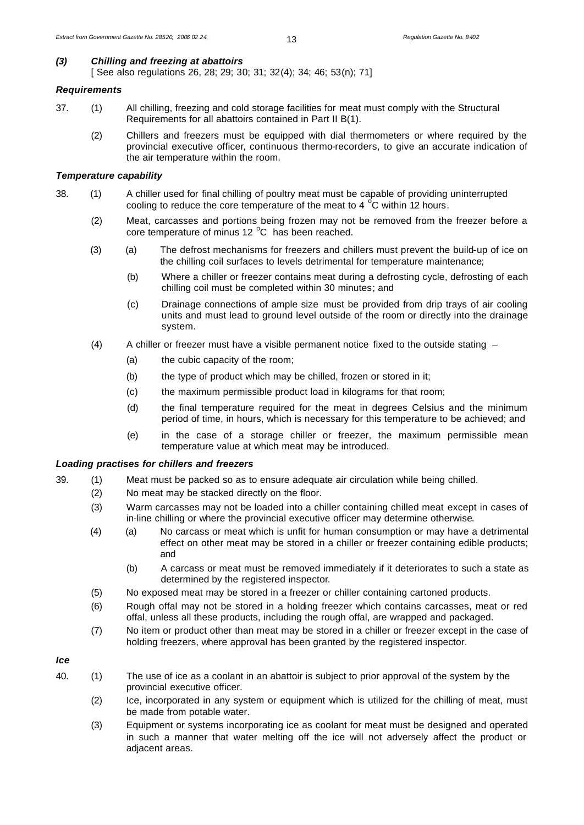# *(3) Chilling and freezing at abattoirs*

[ See also regulations 26, 28; 29; 30; 31; 32(4); 34; 46; 53(n); 71]

# *Requirements*

- 37. (1) All chilling, freezing and cold storage facilities for meat must comply with the Structural Requirements for all abattoirs contained in Part II B(1).
	- (2) Chillers and freezers must be equipped with dial thermometers or where required by the provincial executive officer, continuous thermo-recorders, to give an accurate indication of the air temperature within the room.

# *Temperature capability*

- 38. (1) A chiller used for final chilling of poultry meat must be capable of providing uninterrupted cooling to reduce the core temperature of the meat to 4  $\degree$ C within 12 hours.
	- (2) Meat, carcasses and portions being frozen may not be removed from the freezer before a core temperature of minus 12 $\degree$ C has been reached.
	- (3) (a) The defrost mechanisms for freezers and chillers must prevent the build-up of ice on the chilling coil surfaces to levels detrimental for temperature maintenance;
		- (b) Where a chiller or freezer contains meat during a defrosting cycle, defrosting of each chilling coil must be completed within 30 minutes; and
		- (c) Drainage connections of ample size must be provided from drip trays of air cooling units and must lead to ground level outside of the room or directly into the drainage system.
	- (4) A chiller or freezer must have a visible permanent notice fixed to the outside stating
		- (a) the cubic capacity of the room;
		- (b) the type of product which may be chilled, frozen or stored in it;
		- (c) the maximum permissible product load in kilograms for that room;
		- (d) the final temperature required for the meat in degrees Celsius and the minimum period of time, in hours, which is necessary for this temperature to be achieved; and
		- (e) in the case of a storage chiller or freezer, the maximum permissible mean temperature value at which meat may be introduced.

# *Loading practises for chillers and freezers*

- 39. (1) Meat must be packed so as to ensure adequate air circulation while being chilled.
	- (2) No meat may be stacked directly on the floor.
		- (3) Warm carcasses may not be loaded into a chiller containing chilled meat except in cases of in-line chilling or where the provincial executive officer may determine otherwise.
		- (4) (a) No carcass or meat which is unfit for human consumption or may have a detrimental effect on other meat may be stored in a chiller or freezer containing edible products; and
			- (b) A carcass or meat must be removed immediately if it deteriorates to such a state as determined by the registered inspector.
		- (5) No exposed meat may be stored in a freezer or chiller containing cartoned products.
		- (6) Rough offal may not be stored in a holding freezer which contains carcasses, meat or red offal, unless all these products, including the rough offal, are wrapped and packaged.
		- (7) No item or product other than meat may be stored in a chiller or freezer except in the case of holding freezers, where approval has been granted by the registered inspector.

# *Ice*

- 40. (1) The use of ice as a coolant in an abattoir is subject to prior approval of the system by the provincial executive officer.
	- (2) Ice, incorporated in any system or equipment which is utilized for the chilling of meat, must be made from potable water.
	- (3) Equipment or systems incorporating ice as coolant for meat must be designed and operated in such a manner that water melting off the ice will not adversely affect the product or adjacent areas.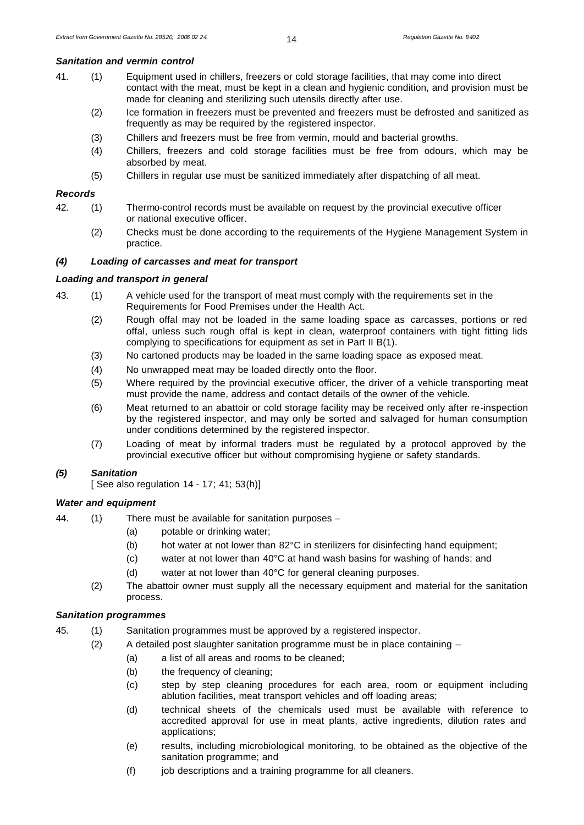### *Sanitation and vermin control*

- 41. (1) Equipment used in chillers, freezers or cold storage facilities, that may come into direct contact with the meat, must be kept in a clean and hygienic condition, and provision must be made for cleaning and sterilizing such utensils directly after use.
	- (2) Ice formation in freezers must be prevented and freezers must be defrosted and sanitized as frequently as may be required by the registered inspector.
	- (3) Chillers and freezers must be free from vermin, mould and bacterial growths.
	- (4) Chillers, freezers and cold storage facilities must be free from odours, which may be absorbed by meat.
	- (5) Chillers in regular use must be sanitized immediately after dispatching of all meat.

## *Records*

- 42. (1) Thermo-control records must be available on request by the provincial executive officer or national executive officer.
	- (2) Checks must be done according to the requirements of the Hygiene Management System in practice.

## *(4) Loading of carcasses and meat for transport*

#### *Loading and transport in general*

- 43. (1) A vehicle used for the transport of meat must comply with the requirements set in the Requirements for Food Premises under the Health Act.
	- (2) Rough offal may not be loaded in the same loading space as carcasses, portions or red offal, unless such rough offal is kept in clean, waterproof containers with tight fitting lids complying to specifications for equipment as set in Part II B(1).
	- (3) No cartoned products may be loaded in the same loading space as exposed meat.
	- (4) No unwrapped meat may be loaded directly onto the floor.
	- (5) Where required by the provincial executive officer, the driver of a vehicle transporting meat must provide the name, address and contact details of the owner of the vehicle.
	- (6) Meat returned to an abattoir or cold storage facility may be received only after re-inspection by the registered inspector, and may only be sorted and salvaged for human consumption under conditions determined by the registered inspector.
	- (7) Loading of meat by informal traders must be regulated by a protocol approved by the provincial executive officer but without compromising hygiene or safety standards.

#### *(5) Sanitation*

[ See also regulation  $14 - 17$ ;  $41$ ;  $53(h)$ ]

#### *Water and equipment*

- 44. (1) There must be available for sanitation purposes
	- (a) potable or drinking water;
	- (b) hot water at not lower than 82°C in sterilizers for disinfecting hand equipment;
	- (c) water at not lower than 40°C at hand wash basins for washing of hands; and
	- (d) water at not lower than 40°C for general cleaning purposes.
	- (2) The abattoir owner must supply all the necessary equipment and material for the sanitation process.

# *Sanitation programmes*

- 45. (1) Sanitation programmes must be approved by a registered inspector.
	- (2) A detailed post slaughter sanitation programme must be in place containing
		- (a) a list of all areas and rooms to be cleaned;
		- (b) the frequency of cleaning;
		- (c) step by step cleaning procedures for each area, room or equipment including ablution facilities, meat transport vehicles and off loading areas;
		- (d) technical sheets of the chemicals used must be available with reference to accredited approval for use in meat plants, active ingredients, dilution rates and applications;
		- (e) results, including microbiological monitoring, to be obtained as the objective of the sanitation programme; and
		- (f) job descriptions and a training programme for all cleaners.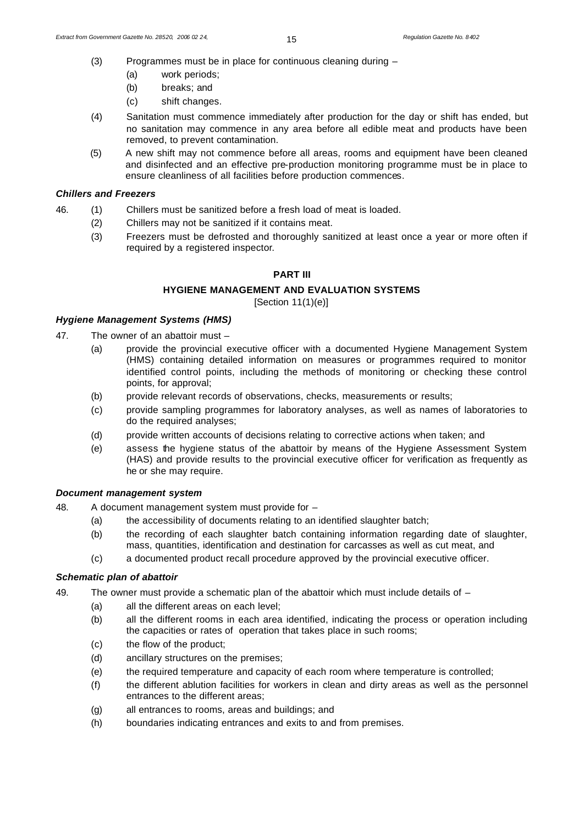- (3) Programmes must be in place for continuous cleaning during
	- (a) work periods;
	- (b) breaks; and
	- (c) shift changes.
- (4) Sanitation must commence immediately after production for the day or shift has ended, but no sanitation may commence in any area before all edible meat and products have been removed, to prevent contamination.
- (5) A new shift may not commence before all areas, rooms and equipment have been cleaned and disinfected and an effective pre-production monitoring programme must be in place to ensure cleanliness of all facilities before production commences.

### *Chillers and Freezers*

- 46. (1) Chillers must be sanitized before a fresh load of meat is loaded.
	- (2) Chillers may not be sanitized if it contains meat.
	- (3) Freezers must be defrosted and thoroughly sanitized at least once a year or more often if required by a registered inspector.

## **PART III**

# **HYGIENE MANAGEMENT AND EVALUATION SYSTEMS**

[Section 11(1)(e)]

## *Hygiene Management Systems (HMS)*

- 47. The owner of an abattoir must
	- (a) provide the provincial executive officer with a documented Hygiene Management System (HMS) containing detailed information on measures or programmes required to monitor identified control points, including the methods of monitoring or checking these control points, for approval;
	- (b) provide relevant records of observations, checks, measurements or results;
	- (c) provide sampling programmes for laboratory analyses, as well as names of laboratories to do the required analyses;
	- (d) provide written accounts of decisions relating to corrective actions when taken; and
	- (e) assess the hygiene status of the abattoir by means of the Hygiene Assessment System (HAS) and provide results to the provincial executive officer for verification as frequently as he or she may require.

## *Document management system*

- 48. A document management system must provide for
	- (a) the accessibility of documents relating to an identified slaughter batch;
	- (b) the recording of each slaughter batch containing information regarding date of slaughter, mass, quantities, identification and destination for carcasses as well as cut meat, and
	- (c) a documented product recall procedure approved by the provincial executive officer.

## *Schematic plan of abattoir*

- 49. The owner must provide a schematic plan of the abattoir which must include details of -
	- (a) all the different areas on each level;
	- (b) all the different rooms in each area identified, indicating the process or operation including the capacities or rates of operation that takes place in such rooms;
	- (c) the flow of the product;
	- (d) ancillary structures on the premises;
	- (e) the required temperature and capacity of each room where temperature is controlled;
	- (f) the different ablution facilities for workers in clean and dirty areas as well as the personnel entrances to the different areas;
	- (g) all entrances to rooms, areas and buildings; and
	- (h) boundaries indicating entrances and exits to and from premises.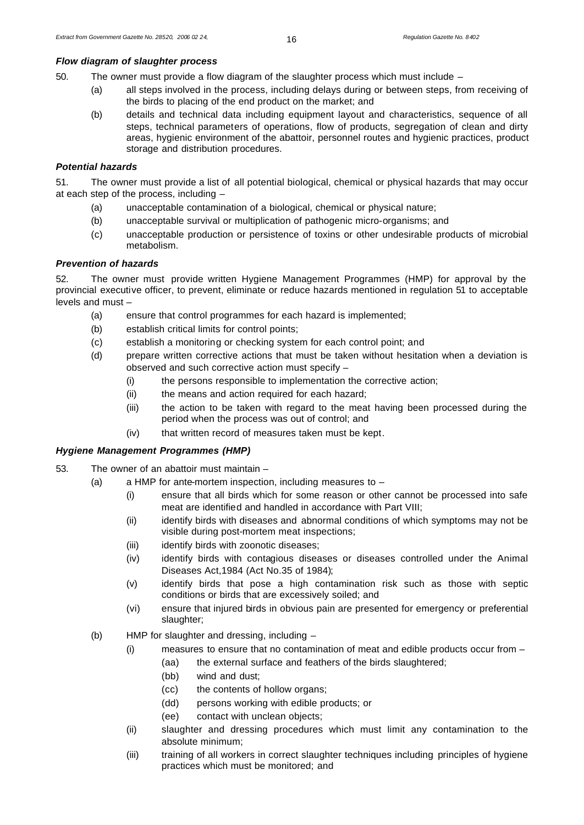# *Flow diagram of slaughter process*

50. The owner must provide a flow diagram of the slaughter process which must include –

- (a) all steps involved in the process, including delays during or between steps, from receiving of the birds to placing of the end product on the market; and
- (b) details and technical data including equipment layout and characteristics, sequence of all steps, technical parameters of operations, flow of products, segregation of clean and dirty areas, hygienic environment of the abattoir, personnel routes and hygienic practices, product storage and distribution procedures.

# *Potential hazards*

51. The owner must provide a list of all potential biological, chemical or physical hazards that may occur at each step of the process, including –

- (a) unacceptable contamination of a biological, chemical or physical nature;
- (b) unacceptable survival or multiplication of pathogenic micro-organisms; and
- (c) unacceptable production or persistence of toxins or other undesirable products of microbial metabolism.

# *Prevention of hazards*

52. The owner must provide written Hygiene Management Programmes (HMP) for approval by the provincial executive officer, to prevent, eliminate or reduce hazards mentioned in regulation 51 to acceptable levels and must –

- (a) ensure that control programmes for each hazard is implemented;
- (b) establish critical limits for control points;
- (c) establish a monitoring or checking system for each control point; and
- (d) prepare written corrective actions that must be taken without hesitation when a deviation is observed and such corrective action must specify –
	- (i) the persons responsible to implementation the corrective action;
	- (ii) the means and action required for each hazard;
	- (iii) the action to be taken with regard to the meat having been processed during the period when the process was out of control; and
	- (iv) that written record of measures taken must be kept.

# *Hygiene Management Programmes (HMP)*

- 53. The owner of an abattoir must maintain
	- (a) a HMP for ante-mortem inspection, including measures to
		- (i) ensure that all birds which for some reason or other cannot be processed into safe meat are identified and handled in accordance with Part VIII;
		- (ii) identify birds with diseases and abnormal conditions of which symptoms may not be visible during post-mortem meat inspections;
		- (iii) identify birds with zoonotic diseases;
		- (iv) identify birds with contagious diseases or diseases controlled under the Animal Diseases Act,1984 (Act No.35 of 1984);
		- (v) identify birds that pose a high contamination risk such as those with septic conditions or birds that are excessively soiled; and
		- (vi) ensure that injured birds in obvious pain are presented for emergency or preferential slaughter;
	- (b) HMP for slaughter and dressing, including
		- (i) measures to ensure that no contamination of meat and edible products occur from
			- (aa) the external surface and feathers of the birds slaughtered;
			- (bb) wind and dust;
			- (cc) the contents of hollow organs;
			- (dd) persons working with edible products; or
			- (ee) contact with unclean objects;
		- (ii) slaughter and dressing procedures which must limit any contamination to the absolute minimum;
		- (iii) training of all workers in correct slaughter techniques including principles of hygiene practices which must be monitored; and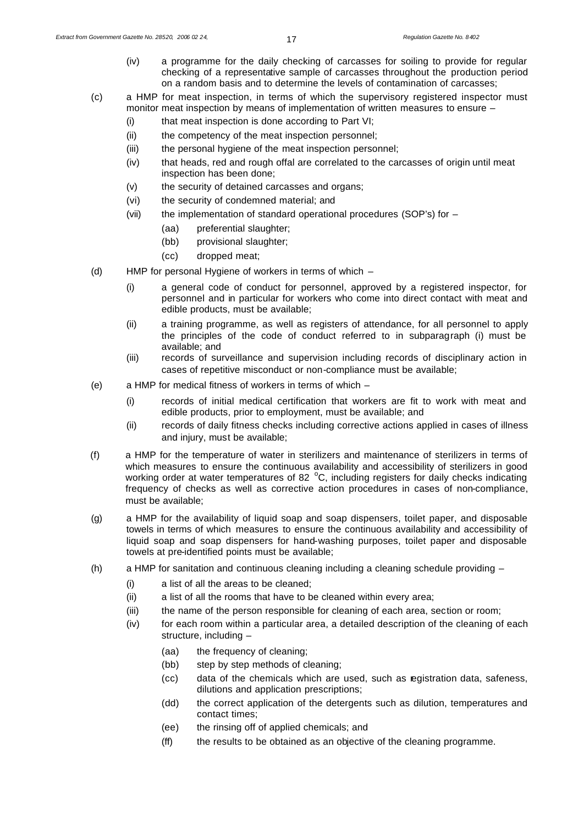- (iv) a programme for the daily checking of carcasses for soiling to provide for regular checking of a representative sample of carcasses throughout the production period on a random basis and to determine the levels of contamination of carcasses;
- (c) a HMP for meat inspection, in terms of which the supervisory registered inspector must monitor meat inspection by means of implementation of written measures to ensure –
	- (i) that meat inspection is done according to Part VI;
	- (ii) the competency of the meat inspection personnel;
	- (iii) the personal hygiene of the meat inspection personnel;
	- (iv) that heads, red and rough offal are correlated to the carcasses of origin until meat inspection has been done;
	- (v) the security of detained carcasses and organs;
	- (vi) the security of condemned material; and
	- (vii) the implementation of standard operational procedures (SOP's) for
		- (aa) preferential slaughter;
		- (bb) provisional slaughter;
		- (cc) dropped meat;
- (d) HMP for personal Hygiene of workers in terms of which
	- (i) a general code of conduct for personnel, approved by a registered inspector, for personnel and in particular for workers who come into direct contact with meat and edible products, must be available;
	- (ii) a training programme, as well as registers of attendance, for all personnel to apply the principles of the code of conduct referred to in subparagraph (i) must be available; and
	- (iii) records of surveillance and supervision including records of disciplinary action in cases of repetitive misconduct or non-compliance must be available;
- (e) a HMP for medical fitness of workers in terms of which
	- (i) records of initial medical certification that workers are fit to work with meat and edible products, prior to employment, must be available; and
	- (ii) records of daily fitness checks including corrective actions applied in cases of illness and injury, must be available;
- (f) a HMP for the temperature of water in sterilizers and maintenance of sterilizers in terms of which measures to ensure the continuous availability and accessibility of sterilizers in good working order at water temperatures of 82 $^{\circ}$ C, including registers for daily checks indicating frequency of checks as well as corrective action procedures in cases of non-compliance, must be available;
- (g) a HMP for the availability of liquid soap and soap dispensers, toilet paper, and disposable towels in terms of which measures to ensure the continuous availability and accessibility of liquid soap and soap dispensers for hand-washing purposes, toilet paper and disposable towels at pre-identified points must be available;
- (h) a HMP for sanitation and continuous cleaning including a cleaning schedule providing
	- (i) a list of all the areas to be cleaned;
	- (ii) a list of all the rooms that have to be cleaned within every area;
	- (iii) the name of the person responsible for cleaning of each area, section or room;
	- (iv) for each room within a particular area, a detailed description of the cleaning of each structure, including –
		- (aa) the frequency of cleaning;
		- (bb) step by step methods of cleaning;
		- (cc) data of the chemicals which are used, such as registration data, safeness, dilutions and application prescriptions;
		- (dd) the correct application of the detergents such as dilution, temperatures and contact times;
		- (ee) the rinsing off of applied chemicals; and
		- (ff) the results to be obtained as an objective of the cleaning programme.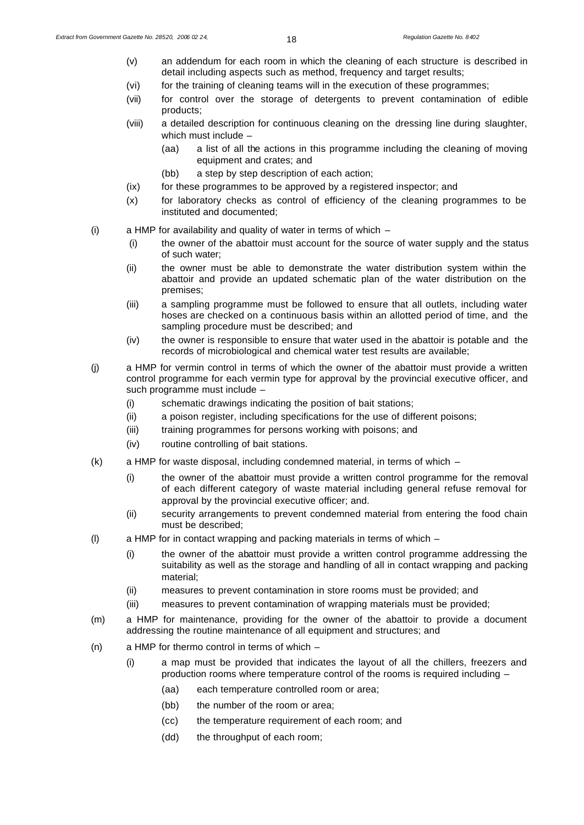- (v) an addendum for each room in which the cleaning of each structure is described in detail including aspects such as method, frequency and target results;
- (vi) for the training of cleaning teams will in the execution of these programmes;
- (vii) for control over the storage of detergents to prevent contamination of edible products;
- (viii) a detailed description for continuous cleaning on the dressing line during slaughter, which must include –
	- (aa) a list of all the actions in this programme including the cleaning of moving equipment and crates; and
	- (bb) a step by step description of each action;
- (ix) for these programmes to be approved by a registered inspector; and
- (x) for laboratory checks as control of efficiency of the cleaning programmes to be instituted and documented;
- (i) a HMP for availability and quality of water in terms of which
	- (i) the owner of the abattoir must account for the source of water supply and the status of such water;
	- (ii) the owner must be able to demonstrate the water distribution system within the abattoir and provide an updated schematic plan of the water distribution on the premises;
	- (iii) a sampling programme must be followed to ensure that all outlets, including water hoses are checked on a continuous basis within an allotted period of time, and the sampling procedure must be described; and
	- (iv) the owner is responsible to ensure that water used in the abattoir is potable and the records of microbiological and chemical water test results are available;
- (j) a HMP for vermin control in terms of which the owner of the abattoir must provide a written control programme for each vermin type for approval by the provincial executive officer, and such programme must include –
	- (i) schematic drawings indicating the position of bait stations;
	- (ii) a poison register, including specifications for the use of different poisons;
	- (iii) training programmes for persons working with poisons; and
	- (iv) routine controlling of bait stations.
- (k) a HMP for waste disposal, including condemned material, in terms of which
	- (i) the owner of the abattoir must provide a written control programme for the removal of each different category of waste material including general refuse removal for approval by the provincial executive officer; and.
	- (ii) security arrangements to prevent condemned material from entering the food chain must be described;
- (l) a HMP for in contact wrapping and packing materials in terms of which
	- (i) the owner of the abattoir must provide a written control programme addressing the suitability as well as the storage and handling of all in contact wrapping and packing material;
	- (ii) measures to prevent contamination in store rooms must be provided; and
	- (iii) measures to prevent contamination of wrapping materials must be provided;
- (m) a HMP for maintenance, providing for the owner of the abattoir to provide a document addressing the routine maintenance of all equipment and structures; and
- (n) a HMP for thermo control in terms of which
	- (i) a map must be provided that indicates the layout of all the chillers, freezers and production rooms where temperature control of the rooms is required including –
		- (aa) each temperature controlled room or area;
		- (bb) the number of the room or area;
		- (cc) the temperature requirement of each room; and
		- (dd) the throughput of each room;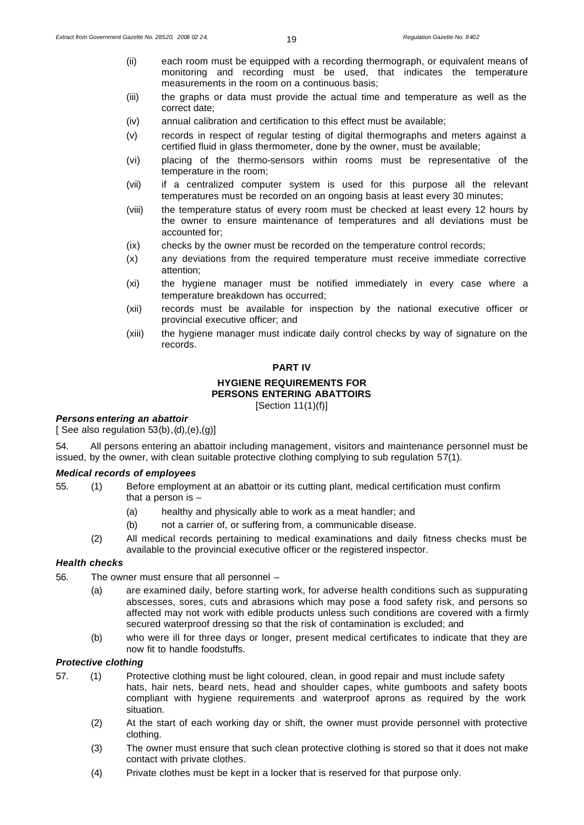- (ii) each room must be equipped with a recording thermograph, or equivalent means of monitoring and recording must be used, that indicates the temperature measurements in the room on a continuous basis;
- (iii) the graphs or data must provide the actual time and temperature as well as the correct date;
- (iv) annual calibration and certification to this effect must be available;
- (v) records in respect of regular testing of digital thermographs and meters against a certified fluid in glass thermometer, done by the owner, must be available;
- (vi) placing of the thermo-sensors within rooms must be representative of the temperature in the room;
- (vii) if a centralized computer system is used for this purpose all the relevant temperatures must be recorded on an ongoing basis at least every 30 minutes;
- (viii) the temperature status of every room must be checked at least every 12 hours by the owner to ensure maintenance of temperatures and all deviations must be accounted for;
- (ix) checks by the owner must be recorded on the temperature control records;
- (x) any deviations from the required temperature must receive immediate corrective attention;
- (xi) the hygiene manager must be notified immediately in every case where a temperature breakdown has occurred;
- (xii) records must be available for inspection by the national executive officer or provincial executive officer; and
- (xiii) the hygiene manager must indicate daily control checks by way of signature on the records.

#### **PART IV**

# **HYGIENE REQUIREMENTS FOR**

**PERSONS ENTERING ABATTOIRS**

[Section 11(1)(f)]

# *Persons entering an abattoir*

[ See also regulation  $53(b)$ , $(d)$ , $(e)$ , $(g)$ ]

54. All persons entering an abattoir including management, visitors and maintenance personnel must be issued, by the owner, with clean suitable protective clothing complying to sub regulation 57(1).

#### *Medical records of employees*

- 55. (1) Before employment at an abattoir or its cutting plant, medical certification must confirm that a person is –
	- (a) healthy and physically able to work as a meat handler; and
	- (b) not a carrier of, or suffering from, a communicable disease.
	- (2) All medical records pertaining to medical examinations and daily fitness checks must be available to the provincial executive officer or the registered inspector.

## *Health checks*

- 56. The owner must ensure that all personnel
	- (a) are examined daily, before starting work, for adverse health conditions such as suppurating abscesses, sores, cuts and abrasions which may pose a food safety risk, and persons so affected may not work with edible products unless such conditions are covered with a firmly secured waterproof dressing so that the risk of contamination is excluded; and
	- (b) who were ill for three days or longer, present medical certificates to indicate that they are now fit to handle foodstuffs.

#### *Protective clothing*

- 57. (1) Protective clothing must be light coloured, clean, in good repair and must include safety hats, hair nets, beard nets, head and shoulder capes, white gumboots and safety boots compliant with hygiene requirements and waterproof aprons as required by the work situation.
	- (2) At the start of each working day or shift, the owner must provide personnel with protective clothing.
	- (3) The owner must ensure that such clean protective clothing is stored so that it does not make contact with private clothes.
	- (4) Private clothes must be kept in a locker that is reserved for that purpose only.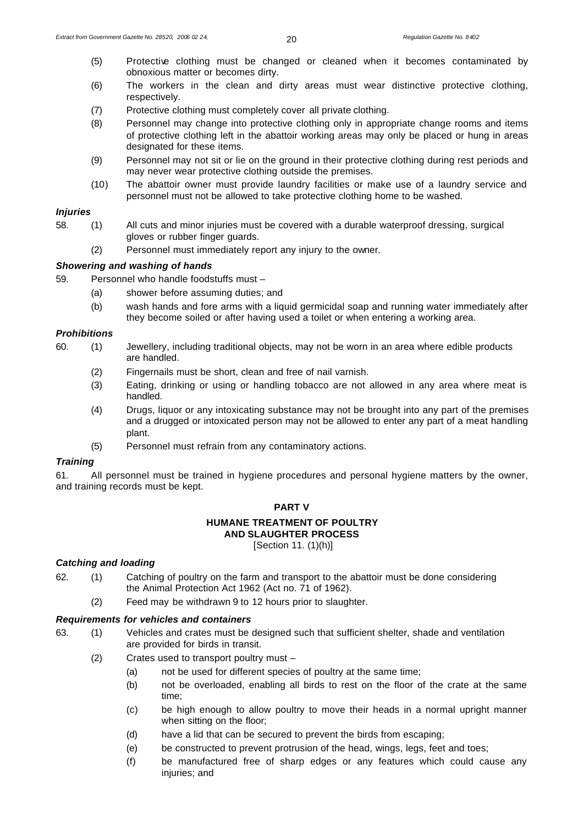- (5) Protective clothing must be changed or cleaned when it becomes contaminated by obnoxious matter or becomes dirty.
- (6) The workers in the clean and dirty areas must wear distinctive protective clothing, respectively.
- (7) Protective clothing must completely cover all private clothing.
- (8) Personnel may change into protective clothing only in appropriate change rooms and items of protective clothing left in the abattoir working areas may only be placed or hung in areas designated for these items.
- (9) Personnel may not sit or lie on the ground in their protective clothing during rest periods and may never wear protective clothing outside the premises.
- (10) The abattoir owner must provide laundry facilities or make use of a laundry service and personnel must not be allowed to take protective clothing home to be washed.

# *Injuries*

- 58. (1) All cuts and minor injuries must be covered with a durable waterproof dressing, surgical gloves or rubber finger guards.
	- (2) Personnel must immediately report any injury to the owner.

# *Showering and washing of hands*

- 59. Personnel who handle foodstuffs must
	- (a) shower before assuming duties; and
	- (b) wash hands and fore arms with a liquid germicidal soap and running water immediately after they become soiled or after having used a toilet or when entering a working area.

## *Prohibitions*

- 60. (1) Jewellery, including traditional objects, may not be worn in an area where edible products are handled.
	- (2) Fingernails must be short, clean and free of nail varnish.
	- (3) Eating, drinking or using or handling tobacco are not allowed in any area where meat is handled.
	- (4) Drugs, liquor or any intoxicating substance may not be brought into any part of the premises and a drugged or intoxicated person may not be allowed to enter any part of a meat handling plant.
	- (5) Personnel must refrain from any contaminatory actions.

## *Training*

61. All personnel must be trained in hygiene procedures and personal hygiene matters by the owner, and training records must be kept.

## **PART V**

# **HUMANE TREATMENT OF POULTRY**

**AND SLAUGHTER PROCESS**

[Section 11. (1)(h)]

# *Catching and loading*

- 62. (1) Catching of poultry on the farm and transport to the abattoir must be done considering the Animal Protection Act 1962 (Act no. 71 of 1962).
	- (2) Feed may be withdrawn 9 to 12 hours prior to slaughter.

# *Requirements for vehicles and containers*

- 63. (1) Vehicles and crates must be designed such that sufficient shelter, shade and ventilation are provided for birds in transit.
	- (2) Crates used to transport poultry must
		- (a) not be used for different species of poultry at the same time;
		- (b) not be overloaded, enabling all birds to rest on the floor of the crate at the same time;
		- (c) be high enough to allow poultry to move their heads in a normal upright manner when sitting on the floor;
		- (d) have a lid that can be secured to prevent the birds from escaping;
		- (e) be constructed to prevent protrusion of the head, wings, legs, feet and toes;
		- (f) be manufactured free of sharp edges or any features which could cause any injuries; and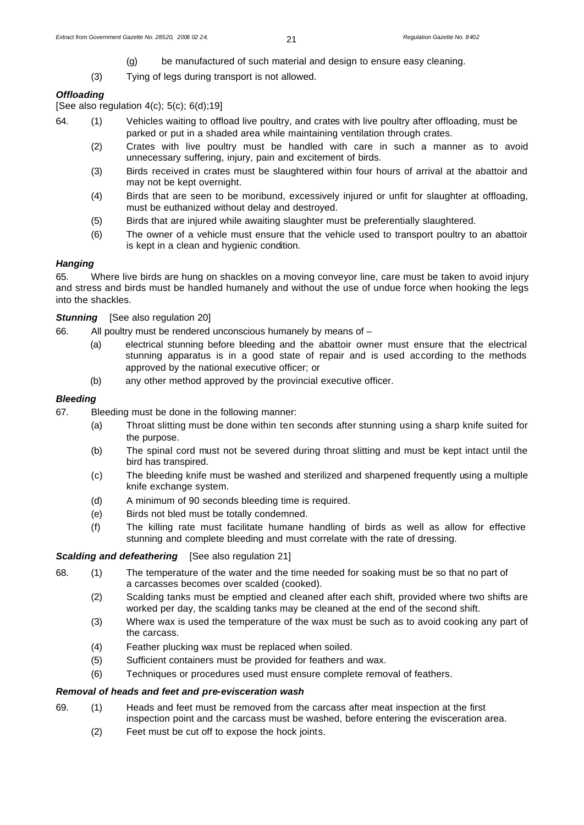- (g) be manufactured of such material and design to ensure easy cleaning.
- (3) Tying of legs during transport is not allowed.

# *Offloading*

[See also regulation  $4(c)$ ;  $5(c)$ ;  $6(d)$ ; 19]

- 64. (1) Vehicles waiting to offload live poultry, and crates with live poultry after offloading, must be parked or put in a shaded area while maintaining ventilation through crates.
	- (2) Crates with live poultry must be handled with care in such a manner as to avoid unnecessary suffering, injury, pain and excitement of birds.
	- (3) Birds received in crates must be slaughtered within four hours of arrival at the abattoir and may not be kept overnight.
	- (4) Birds that are seen to be moribund, excessively injured or unfit for slaughter at offloading, must be euthanized without delay and destroyed.
	- (5) Birds that are injured while awaiting slaughter must be preferentially slaughtered.
	- (6) The owner of a vehicle must ensure that the vehicle used to transport poultry to an abattoir is kept in a clean and hygienic condition.

# *Hanging*

65. Where live birds are hung on shackles on a moving conveyor line, care must be taken to avoid injury and stress and birds must be handled humanely and without the use of undue force when hooking the legs into the shackles.

**Stunning** [See also regulation 20]

66. All poultry must be rendered unconscious humanely by means of –

- (a) electrical stunning before bleeding and the abattoir owner must ensure that the electrical stunning apparatus is in a good state of repair and is used according to the methods approved by the national executive officer; or
- (b) any other method approved by the provincial executive officer.

# *Bleeding*

- 67. Bleeding must be done in the following manner:
	- (a) Throat slitting must be done within ten seconds after stunning using a sharp knife suited for the purpose.
	- (b) The spinal cord must not be severed during throat slitting and must be kept intact until the bird has transpired.
	- (c) The bleeding knife must be washed and sterilized and sharpened frequently using a multiple knife exchange system.
	- (d) A minimum of 90 seconds bleeding time is required.
	- (e) Birds not bled must be totally condemned.
	- (f) The killing rate must facilitate humane handling of birds as well as allow for effective stunning and complete bleeding and must correlate with the rate of dressing.

# **Scalding and defeathering** [See also regulation 21]

- 68. (1) The temperature of the water and the time needed for soaking must be so that no part of a carcasses becomes over scalded (cooked).
	- (2) Scalding tanks must be emptied and cleaned after each shift, provided where two shifts are worked per day, the scalding tanks may be cleaned at the end of the second shift.
	- (3) Where wax is used the temperature of the wax must be such as to avoid cooking any part of the carcass.
	- (4) Feather plucking wax must be replaced when soiled.
	- (5) Sufficient containers must be provided for feathers and wax.
	- (6) Techniques or procedures used must ensure complete removal of feathers.

## *Removal of heads and feet and pre-evisceration wash*

- 69. (1) Heads and feet must be removed from the carcass after meat inspection at the first inspection point and the carcass must be washed, before entering the evisceration area.
	- (2) Feet must be cut off to expose the hock joints.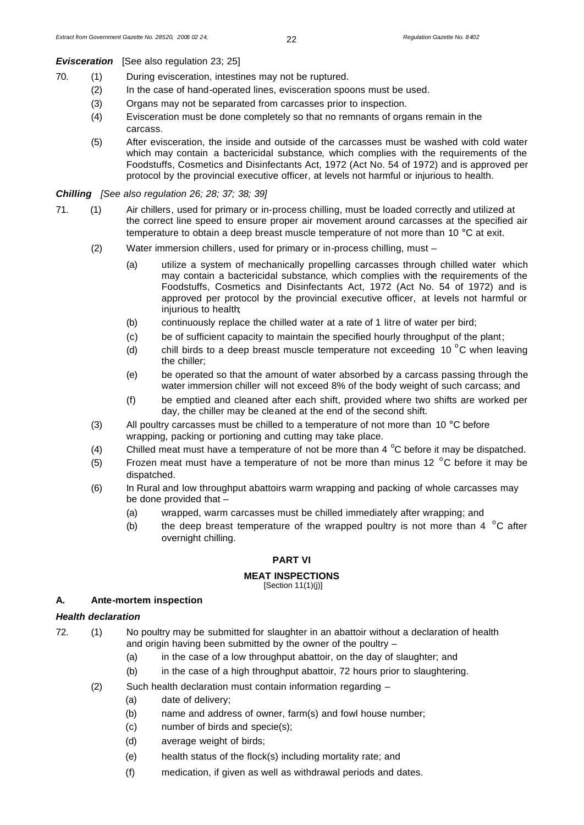**Evisceration** [See also regulation 23; 25]

- 70. (1) During evisceration, intestines may not be ruptured.
	- (2) In the case of hand-operated lines, evisceration spoons must be used.
	- (3) Organs may not be separated from carcasses prior to inspection.
	- (4) Evisceration must be done completely so that no remnants of organs remain in the carcass.
	- (5) After evisceration, the inside and outside of the carcasses must be washed with cold water which may contain a bactericidal substance, which complies with the requirements of the Foodstuffs, Cosmetics and Disinfectants Act, 1972 (Act No. 54 of 1972) and is approved per protocol by the provincial executive officer, at levels not harmful or injurious to health.

#### *Chilling [See also regulation 26; 28; 37; 38; 39]*

- 71. (1) Air chillers, used for primary or in-process chilling, must be loaded correctly and utilized at the correct line speed to ensure proper air movement around carcasses at the specified air temperature to obtain a deep breast muscle temperature of not more than 10 °C at exit.
	- (2) Water immersion chillers, used for primary or in-process chilling, must
		- (a) utilize a system of mechanically propelling carcasses through chilled water which may contain a bactericidal substance, which complies with the requirements of the Foodstuffs, Cosmetics and Disinfectants Act, 1972 (Act No. 54 of 1972) and is approved per protocol by the provincial executive officer, at levels not harmful or injurious to health;
		- (b) continuously replace the chilled water at a rate of 1 litre of water per bird;
		- (c) be of sufficient capacity to maintain the specified hourly throughput of the plant;
		- (d) chill birds to a deep breast muscle temperature not exceeding 10  $^{\circ}$ C when leaving the chiller;
		- (e) be operated so that the amount of water absorbed by a carcass passing through the water immersion chiller will not exceed 8% of the body weight of such carcass; and
		- (f) be emptied and cleaned after each shift, provided where two shifts are worked per day, the chiller may be cleaned at the end of the second shift.
	- (3) All poultry carcasses must be chilled to a temperature of not more than  $10^{\circ}$ C before wrapping, packing or portioning and cutting may take place.
	- (4) Chilled meat must have a temperature of not be more than 4  $^{\circ}$ C before it may be dispatched.
	- (5) Frozen meat must have a temperature of not be more than minus 12  $\degree$ C before it may be dispatched.
	- (6) In Rural and low throughput abattoirs warm wrapping and packing of whole carcasses may be done provided that –
		- (a) wrapped, warm carcasses must be chilled immediately after wrapping; and
		- (b) the deep breast temperature of the wrapped poultry is not more than 4  $\degree$ C after overnight chilling.

## **PART VI**

#### **MEAT INSPECTIONS**

[Section 11(1)(j)]

# **A. Ante-mortem inspection**

#### *Health declaration*

- 72. (1) No poultry may be submitted for slaughter in an abattoir without a declaration of health and origin having been submitted by the owner of the poultry –
	- (a) in the case of a low throughput abattoir, on the day of slaughter; and
	- (b) in the case of a high throughput abattoir, 72 hours prior to slaughtering.
	- (2) Such health declaration must contain information regarding
		- (a) date of delivery;
		- (b) name and address of owner, farm(s) and fowl house number;
		- (c) number of birds and specie(s);
		- (d) average weight of birds;
		- (e) health status of the flock(s) including mortality rate; and
		- (f) medication, if given as well as withdrawal periods and dates.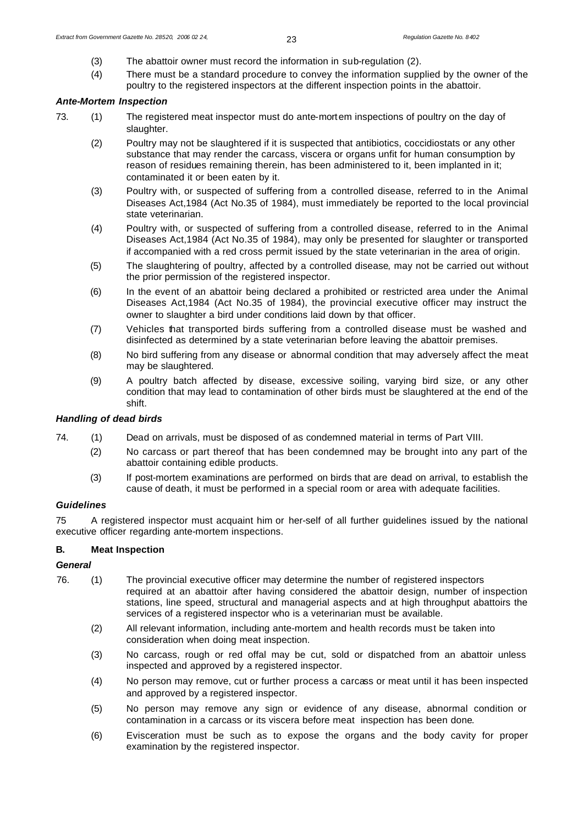- (3) The abattoir owner must record the information in sub-regulation (2).
- (4) There must be a standard procedure to convey the information supplied by the owner of the poultry to the registered inspectors at the different inspection points in the abattoir.

# *Ante-Mortem Inspection*

- 73. (1) The registered meat inspector must do ante-mortem inspections of poultry on the day of slaughter.
	- (2) Poultry may not be slaughtered if it is suspected that antibiotics, coccidiostats or any other substance that may render the carcass, viscera or organs unfit for human consumption by reason of residues remaining therein, has been administered to it, been implanted in it; contaminated it or been eaten by it.
	- (3) Poultry with, or suspected of suffering from a controlled disease, referred to in the Animal Diseases Act,1984 (Act No.35 of 1984), must immediately be reported to the local provincial state veterinarian.
	- (4) Poultry with, or suspected of suffering from a controlled disease, referred to in the Animal Diseases Act,1984 (Act No.35 of 1984), may only be presented for slaughter or transported if accompanied with a red cross permit issued by the state veterinarian in the area of origin.
	- (5) The slaughtering of poultry, affected by a controlled disease, may not be carried out without the prior permission of the registered inspector.
	- (6) In the event of an abattoir being declared a prohibited or restricted area under the Animal Diseases Act,1984 (Act No.35 of 1984), the provincial executive officer may instruct the owner to slaughter a bird under conditions laid down by that officer.
	- (7) Vehicles that transported birds suffering from a controlled disease must be washed and disinfected as determined by a state veterinarian before leaving the abattoir premises.
	- (8) No bird suffering from any disease or abnormal condition that may adversely affect the meat may be slaughtered.
	- (9) A poultry batch affected by disease, excessive soiling, varying bird size, or any other condition that may lead to contamination of other birds must be slaughtered at the end of the shift.

## *Handling of dead birds*

- 74. (1) Dead on arrivals, must be disposed of as condemned material in terms of Part VIII.
	- (2) No carcass or part thereof that has been condemned may be brought into any part of the abattoir containing edible products.
	- (3) If post-mortem examinations are performed on birds that are dead on arrival, to establish the cause of death, it must be performed in a special room or area with adequate facilities.

## *Guidelines*

75 A registered inspector must acquaint him or her-self of all further guidelines issued by the national executive officer regarding ante-mortem inspections.

# **B. Meat Inspection**

# *General*

- 76. (1) The provincial executive officer may determine the number of registered inspectors required at an abattoir after having considered the abattoir design, number of inspection stations, line speed, structural and managerial aspects and at high throughput abattoirs the services of a registered inspector who is a veterinarian must be available.
	- (2) All relevant information, including ante-mortem and health records must be taken into consideration when doing meat inspection.
	- (3) No carcass, rough or red offal may be cut, sold or dispatched from an abattoir unless inspected and approved by a registered inspector.
	- (4) No person may remove, cut or further process a carcass or meat until it has been inspected and approved by a registered inspector.
	- (5) No person may remove any sign or evidence of any disease, abnormal condition or contamination in a carcass or its viscera before meat inspection has been done.
	- (6) Evisceration must be such as to expose the organs and the body cavity for proper examination by the registered inspector.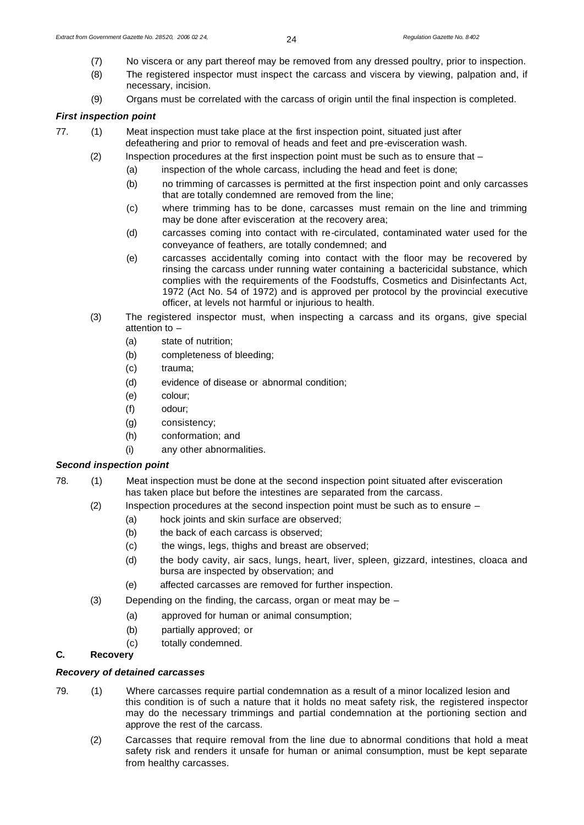- (7) No viscera or any part thereof may be removed from any dressed poultry, prior to inspection.
- (8) The registered inspector must inspect the carcass and viscera by viewing, palpation and, if necessary, incision.
- (9) Organs must be correlated with the carcass of origin until the final inspection is completed.

# *First inspection point*

- 77. (1) Meat inspection must take place at the first inspection point, situated just after defeathering and prior to removal of heads and feet and pre-evisceration wash.
	- (2) Inspection procedures at the first inspection point must be such as to ensure that
		- (a) inspection of the whole carcass, including the head and feet is done;
		- (b) no trimming of carcasses is permitted at the first inspection point and only carcasses that are totally condemned are removed from the line;
		- (c) where trimming has to be done, carcasses must remain on the line and trimming may be done after evisceration at the recovery area;
		- (d) carcasses coming into contact with re-circulated, contaminated water used for the conveyance of feathers, are totally condemned; and
		- (e) carcasses accidentally coming into contact with the floor may be recovered by rinsing the carcass under running water containing a bactericidal substance, which complies with the requirements of the Foodstuffs, Cosmetics and Disinfectants Act, 1972 (Act No. 54 of 1972) and is approved per protocol by the provincial executive officer, at levels not harmful or injurious to health.
	- (3) The registered inspector must, when inspecting a carcass and its organs, give special attention to –
		- (a) state of nutrition;
		- (b) completeness of bleeding;
		- (c) trauma;
		- (d) evidence of disease or abnormal condition;
		- (e) colour;
		- (f) odour;
		- (g) consistency;
		- (h) conformation; and
		- (i) any other abnormalities.

# *Second inspection point*

- 78. (1) Meat inspection must be done at the second inspection point situated after evisceration has taken place but before the intestines are separated from the carcass.
	- (2) Inspection procedures at the second inspection point must be such as to ensure
		- (a) hock joints and skin surface are observed;
		- (b) the back of each carcass is observed:
		- (c) the wings, legs, thighs and breast are observed;
		- (d) the body cavity, air sacs, lungs, heart, liver, spleen, gizzard, intestines, cloaca and bursa are inspected by observation; and
		- (e) affected carcasses are removed for further inspection.
	- (3) Depending on the finding, the carcass, organ or meat may be
		- (a) approved for human or animal consumption;
		- (b) partially approved; or
		- (c) totally condemned.

# **C. Recovery**

# *Recovery of detained carcasses*

- 79. (1) Where carcasses require partial condemnation as a result of a minor localized lesion and this condition is of such a nature that it holds no meat safety risk, the registered inspector may do the necessary trimmings and partial condemnation at the portioning section and approve the rest of the carcass.
	- (2) Carcasses that require removal from the line due to abnormal conditions that hold a meat safety risk and renders it unsafe for human or animal consumption, must be kept separate from healthy carcasses.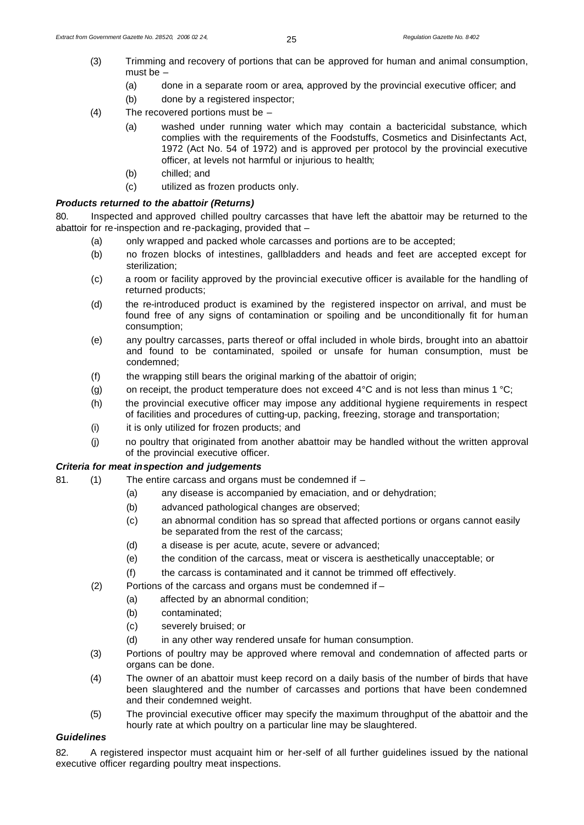- (3) Trimming and recovery of portions that can be approved for human and animal consumption, must be –
	- (a) done in a separate room or area, approved by the provincial executive officer; and
	- (b) done by a registered inspector;
- (4) The recovered portions must be
	- (a) washed under running water which may contain a bactericidal substance, which complies with the requirements of the Foodstuffs, Cosmetics and Disinfectants Act, 1972 (Act No. 54 of 1972) and is approved per protocol by the provincial executive officer, at levels not harmful or injurious to health;
	- (b) chilled; and
	- (c) utilized as frozen products only.

# *Products returned to the abattoir (Returns)*

80. Inspected and approved chilled poultry carcasses that have left the abattoir may be returned to the abattoir for re-inspection and re-packaging, provided that –

- (a) only wrapped and packed whole carcasses and portions are to be accepted;
- (b) no frozen blocks of intestines, gallbladders and heads and feet are accepted except for sterilization;
- (c) a room or facility approved by the provincial executive officer is available for the handling of returned products;
- (d) the re-introduced product is examined by the registered inspector on arrival, and must be found free of any signs of contamination or spoiling and be unconditionally fit for human consumption;
- (e) any poultry carcasses, parts thereof or offal included in whole birds, brought into an abattoir and found to be contaminated, spoiled or unsafe for human consumption, must be condemned;
- (f) the wrapping still bears the original marking of the abattoir of origin;
- (g) on receipt, the product temperature does not exceed  $4^{\circ}$ C and is not less than minus 1  $^{\circ}$ C;
- (h) the provincial executive officer may impose any additional hygiene requirements in respect of facilities and procedures of cutting-up, packing, freezing, storage and transportation;
- (i) it is only utilized for frozen products; and
- (j) no poultry that originated from another abattoir may be handled without the written approval of the provincial executive officer.

# *Criteria for meat inspection and judgements*

- 81. (1) The entire carcass and organs must be condemned if
	- (a) any disease is accompanied by emaciation, and or dehydration;
	- (b) advanced pathological changes are observed;
	- (c) an abnormal condition has so spread that affected portions or organs cannot easily be separated from the rest of the carcass;
	- (d) a disease is per acute, acute, severe or advanced;
	- (e) the condition of the carcass, meat or viscera is aesthetically unacceptable; or
	- (f) the carcass is contaminated and it cannot be trimmed off effectively.
	- (2) Portions of the carcass and organs must be condemned if
		- (a) affected by an abnormal condition;
		- (b) contaminated;
		- (c) severely bruised; or
		- (d) in any other way rendered unsafe for human consumption.
	- (3) Portions of poultry may be approved where removal and condemnation of affected parts or organs can be done.
	- (4) The owner of an abattoir must keep record on a daily basis of the number of birds that have been slaughtered and the number of carcasses and portions that have been condemned and their condemned weight.
	- (5) The provincial executive officer may specify the maximum throughput of the abattoir and the hourly rate at which poultry on a particular line may be slaughtered.

# *Guidelines*

82. A registered inspector must acquaint him or her-self of all further guidelines issued by the national executive officer regarding poultry meat inspections.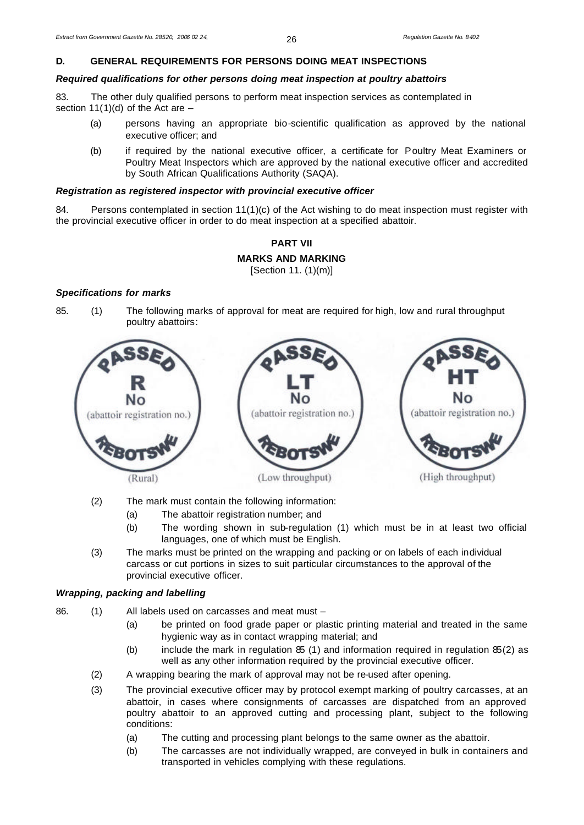# **D. GENERAL REQUIREMENTS FOR PERSONS DOING MEAT INSPECTIONS**

# *Required qualifications for other persons doing meat inspection at poultry abattoirs*

83. The other duly qualified persons to perform meat inspection services as contemplated in section 11(1)(d) of the Act are –

- (a) persons having an appropriate bio-scientific qualification as approved by the national executive officer; and
- (b) if required by the national executive officer, a certificate for Poultry Meat Examiners or Poultry Meat Inspectors which are approved by the national executive officer and accredited by South African Qualifications Authority (SAQA).

# *Registration as registered inspector with provincial executive officer*

84. Persons contemplated in section 11(1)(c) of the Act wishing to do meat inspection must register with the provincial executive officer in order to do meat inspection at a specified abattoir.



# *Specifications for marks*

85. (1) The following marks of approval for meat are required for high, low and rural throughput poultry abattoirs:



(2) The mark must contain the following information:

- (a) The abattoir registration number; and
- (b) The wording shown in sub-regulation (1) which must be in at least two official languages, one of which must be English.
- (3) The marks must be printed on the wrapping and packing or on labels of each individual carcass or cut portions in sizes to suit particular circumstances to the approval of the provincial executive officer.

## *Wrapping, packing and labelling*

- 86. (1) All labels used on carcasses and meat must
	- (a) be printed on food grade paper or plastic printing material and treated in the same hygienic way as in contact wrapping material; and
	- (b) include the mark in regulation  $85$  (1) and information required in regulation  $85(2)$  as well as any other information required by the provincial executive officer.
	- (2) A wrapping bearing the mark of approval may not be re-used after opening.
	- (3) The provincial executive officer may by protocol exempt marking of poultry carcasses, at an abattoir, in cases where consignments of carcasses are dispatched from an approved poultry abattoir to an approved cutting and processing plant, subject to the following conditions:
		- (a) The cutting and processing plant belongs to the same owner as the abattoir.
		- (b) The carcasses are not individually wrapped, are conveyed in bulk in containers and transported in vehicles complying with these regulations.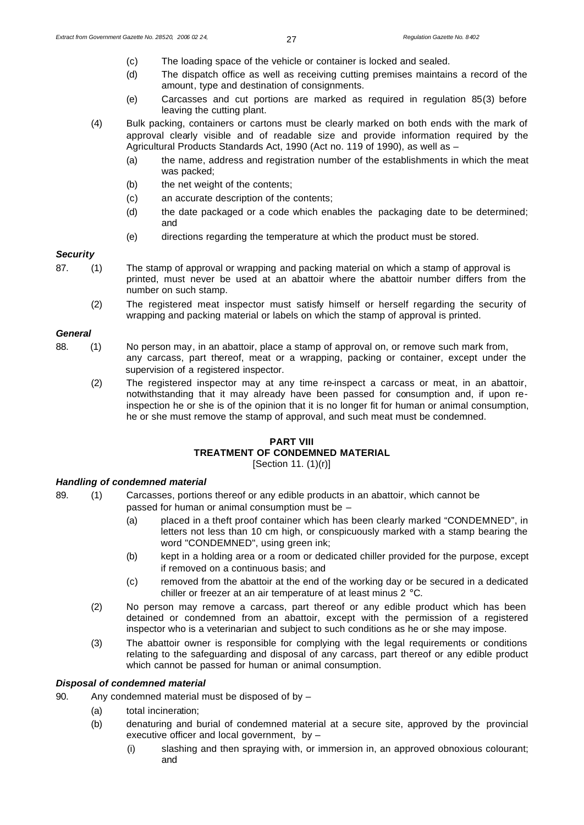- (c) The loading space of the vehicle or container is locked and sealed.
- (d) The dispatch office as well as receiving cutting premises maintains a record of the amount, type and destination of consignments.
- (e) Carcasses and cut portions are marked as required in regulation 85(3) before leaving the cutting plant.
- (4) Bulk packing, containers or cartons must be clearly marked on both ends with the mark of approval clearly visible and of readable size and provide information required by the Agricultural Products Standards Act, 1990 (Act no. 119 of 1990), as well as –
	- (a) the name, address and registration number of the establishments in which the meat was packed;
	- (b) the net weight of the contents;
	- (c) an accurate description of the contents;
	- (d) the date packaged or a code which enables the packaging date to be determined; and
	- (e) directions regarding the temperature at which the product must be stored.

## *Security*

- 87. (1) The stamp of approval or wrapping and packing material on which a stamp of approval is printed, must never be used at an abattoir where the abattoir number differs from the number on such stamp.
	- (2) The registered meat inspector must satisfy himself or herself regarding the security of wrapping and packing material or labels on which the stamp of approval is printed.

### *General*

- 88. (1) No person may, in an abattoir, place a stamp of approval on, or remove such mark from, any carcass, part thereof, meat or a wrapping, packing or container, except under the supervision of a registered inspector.
	- (2) The registered inspector may at any time re-inspect a carcass or meat, in an abattoir, notwithstanding that it may already have been passed for consumption and, if upon reinspection he or she is of the opinion that it is no longer fit for human or animal consumption, he or she must remove the stamp of approval, and such meat must be condemned.

## **PART VIII**

# **TREATMENT OF CONDEMNED MATERIAL**

[Section 11. (1)(r)]

# *Handling of condemned material*

- 89. (1) Carcasses, portions thereof or any edible products in an abattoir, which cannot be passed for human or animal consumption must be –
	- (a) placed in a theft proof container which has been clearly marked "CONDEMNED", in letters not less than 10 cm high, or conspicuously marked with a stamp bearing the word "CONDEMNED", using green ink;
	- (b) kept in a holding area or a room or dedicated chiller provided for the purpose, except if removed on a continuous basis; and
	- (c) removed from the abattoir at the end of the working day or be secured in a dedicated chiller or freezer at an air temperature of at least minus 2 °C.
	- (2) No person may remove a carcass, part thereof or any edible product which has been detained or condemned from an abattoir, except with the permission of a registered inspector who is a veterinarian and subject to such conditions as he or she may impose.
	- (3) The abattoir owner is responsible for complying with the legal requirements or conditions relating to the safeguarding and disposal of any carcass, part thereof or any edible product which cannot be passed for human or animal consumption.

# *Disposal of condemned material*

- 90. Any condemned material must be disposed of by
	- (a) total incineration;
	- (b) denaturing and burial of condemned material at a secure site, approved by the provincial executive officer and local government, by –
		- (i) slashing and then spraying with, or immersion in, an approved obnoxious colourant; and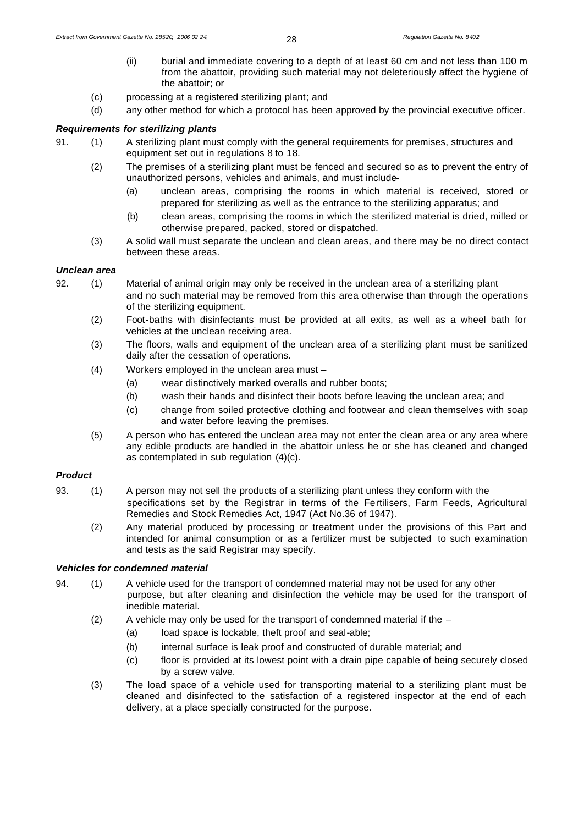- (ii) burial and immediate covering to a depth of at least 60 cm and not less than 100 m from the abattoir, providing such material may not deleteriously affect the hygiene of the abattoir; or
- (c) processing at a registered sterilizing plant; and
- (d) any other method for which a protocol has been approved by the provincial executive officer.

### *Requirements for sterilizing plants*

- 91. (1) A sterilizing plant must comply with the general requirements for premises, structures and equipment set out in regulations 8 to 18.
	- (2) The premises of a sterilizing plant must be fenced and secured so as to prevent the entry of unauthorized persons, vehicles and animals, and must include-
		- (a) unclean areas, comprising the rooms in which material is received, stored or prepared for sterilizing as well as the entrance to the sterilizing apparatus; and
		- (b) clean areas, comprising the rooms in which the sterilized material is dried, milled or otherwise prepared, packed, stored or dispatched.
	- (3) A solid wall must separate the unclean and clean areas, and there may be no direct contact between these areas.

#### *Unclean area*

- 92. (1) Material of animal origin may only be received in the unclean area of a sterilizing plant and no such material may be removed from this area otherwise than through the operations of the sterilizing equipment.
	- (2) Foot-baths with disinfectants must be provided at all exits, as well as a wheel bath for vehicles at the unclean receiving area.
	- (3) The floors, walls and equipment of the unclean area of a sterilizing plant must be sanitized daily after the cessation of operations.
	- (4) Workers employed in the unclean area must
		- (a) wear distinctively marked overalls and rubber boots;
		- (b) wash their hands and disinfect their boots before leaving the unclean area; and
		- (c) change from soiled protective clothing and footwear and clean themselves with soap and water before leaving the premises.
	- (5) A person who has entered the unclean area may not enter the clean area or any area where any edible products are handled in the abattoir unless he or she has cleaned and changed as contemplated in sub regulation (4)(c).

## *Product*

- 93. (1) A person may not sell the products of a sterilizing plant unless they conform with the specifications set by the Registrar in terms of the Fertilisers, Farm Feeds, Agricultural Remedies and Stock Remedies Act, 1947 (Act No.36 of 1947).
	- (2) Any material produced by processing or treatment under the provisions of this Part and intended for animal consumption or as a fertilizer must be subjected to such examination and tests as the said Registrar may specify.

## *Vehicles for condemned material*

- 94. (1) A vehicle used for the transport of condemned material may not be used for any other purpose, but after cleaning and disinfection the vehicle may be used for the transport of inedible material.
	- (2) A vehicle may only be used for the transport of condemned material if the  $-$ 
		- (a) load space is lockable, theft proof and seal-able;
		- (b) internal surface is leak proof and constructed of durable material; and
		- (c) floor is provided at its lowest point with a drain pipe capable of being securely closed by a screw valve.
	- (3) The load space of a vehicle used for transporting material to a sterilizing plant must be cleaned and disinfected to the satisfaction of a registered inspector at the end of each delivery, at a place specially constructed for the purpose.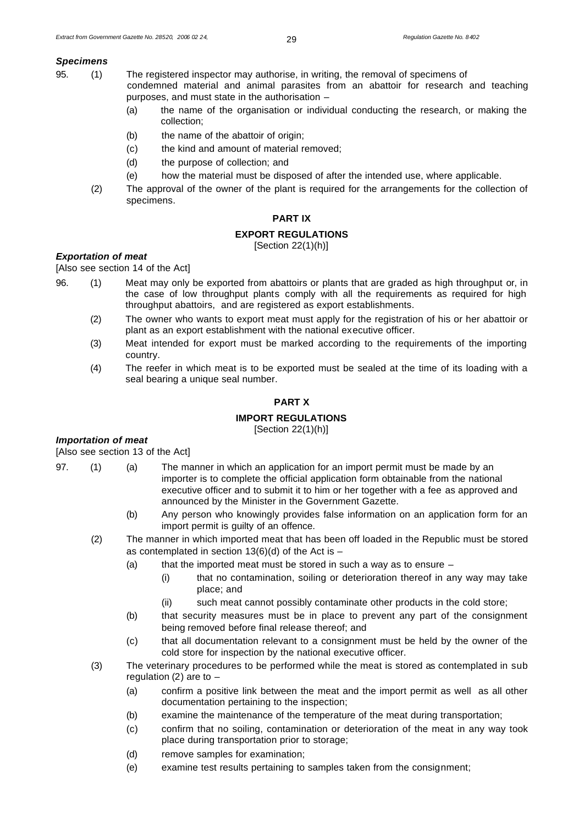# *Specimens*

- 95. (1) The registered inspector may authorise, in writing, the removal of specimens of condemned material and animal parasites from an abattoir for research and teaching purposes, and must state in the authorisation –
	- (a) the name of the organisation or individual conducting the research, or making the collection;
	- (b) the name of the abattoir of origin;
	- (c) the kind and amount of material removed;
	- (d) the purpose of collection; and
	- (e) how the material must be disposed of after the intended use, where applicable.
	- (2) The approval of the owner of the plant is required for the arrangements for the collection of specimens.

### **PART IX**

#### **EXPORT REGULATIONS**

[Section 22(1)(h)]

# *Exportation of meat*

[Also see section 14 of the Act]

- 96. (1) Meat may only be exported from abattoirs or plants that are graded as high throughput or, in the case of low throughput plants comply with all the requirements as required for high throughput abattoirs, and are registered as export establishments.
	- (2) The owner who wants to export meat must apply for the registration of his or her abattoir or plant as an export establishment with the national executive officer.
	- (3) Meat intended for export must be marked according to the requirements of the importing country.
	- (4) The reefer in which meat is to be exported must be sealed at the time of its loading with a seal bearing a unique seal number.

# **PART X**

## **IMPORT REGULATIONS**

[Section 22(1)(h)]

#### *Importation of meat*

[Also see section 13 of the Act]

- 97. (1) (a) The manner in which an application for an import permit must be made by an importer is to complete the official application form obtainable from the national executive officer and to submit it to him or her together with a fee as approved and announced by the Minister in the Government Gazette.
	- (b) Any person who knowingly provides false information on an application form for an import permit is guilty of an offence.
	- (2) The manner in which imported meat that has been off loaded in the Republic must be stored as contemplated in section  $13(6)(d)$  of the Act is -
		- (a) that the imported meat must be stored in such a way as to ensure  $-$ 
			- (i) that no contamination, soiling or deterioration thereof in any way may take place; and
			- (ii) such meat cannot possibly contaminate other products in the cold store;
		- (b) that security measures must be in place to prevent any part of the consignment being removed before final release thereof; and
		- (c) that all documentation relevant to a consignment must be held by the owner of the cold store for inspection by the national executive officer.
	- (3) The veterinary procedures to be performed while the meat is stored as contemplated in sub regulation (2) are to  $-$ 
		- (a) confirm a positive link between the meat and the import permit as well as all other documentation pertaining to the inspection;
		- (b) examine the maintenance of the temperature of the meat during transportation;
		- (c) confirm that no soiling, contamination or deterioration of the meat in any way took place during transportation prior to storage;
		- (d) remove samples for examination;
		- (e) examine test results pertaining to samples taken from the consignment;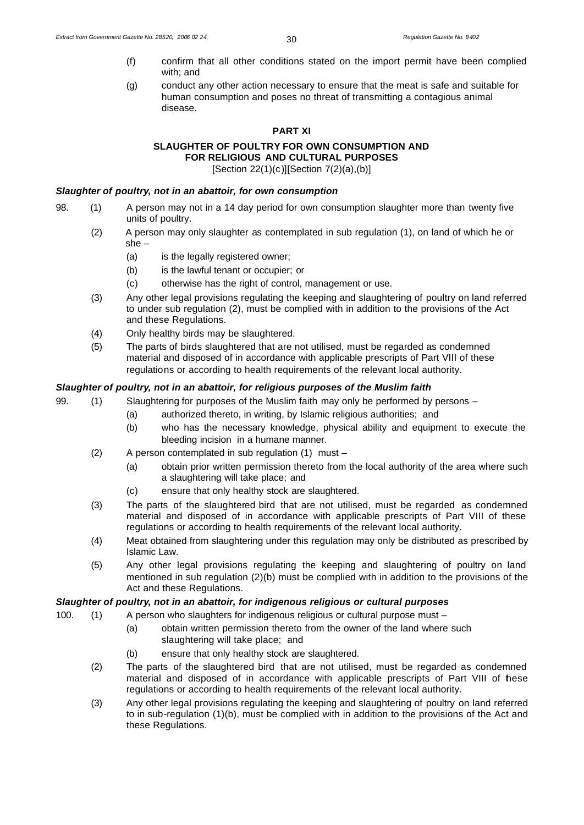- (f) confirm that all other conditions stated on the import permit have been complied with; and
- (g) conduct any other action necessary to ensure that the meat is safe and suitable for human consumption and poses no threat of transmitting a contagious animal disease.

#### **PART XI**

# **SLAUGHTER OF POULTRY FOR OWN CONSUMPTION AND FOR RELIGIOUS AND CULTURAL PURPOSES**

[Section 22(1)(c)][Section 7(2)(a),(b)]

## *Slaughter of poultry, not in an abattoir, for own consumption*

- 98. (1) A person may not in a 14 day period for own consumption slaughter more than twenty five units of poultry.
	- (2) A person may only slaughter as contemplated in sub regulation (1), on land of which he or she –
		- (a) is the legally registered owner;
		- (b) is the lawful tenant or occupier; or
		- (c) otherwise has the right of control, management or use.
	- (3) Any other legal provisions regulating the keeping and slaughtering of poultry on land referred to under sub regulation (2), must be complied with in addition to the provisions of the Act and these Regulations.
	- (4) Only healthy birds may be slaughtered.
	- (5) The parts of birds slaughtered that are not utilised, must be regarded as condemned material and disposed of in accordance with applicable prescripts of Part VIII of these regulations or according to health requirements of the relevant local authority.

# *Slaughter of poultry, not in an abattoir, for religious purposes of the Muslim faith*

99. (1) Slaughtering for purposes of the Muslim faith may only be performed by persons –

- (a) authorized thereto, in writing, by Islamic religious authorities; and
- (b) who has the necessary knowledge, physical ability and equipment to execute the bleeding incision in a humane manner.
- (2) A person contemplated in sub regulation (1) must
	- (a) obtain prior written permission thereto from the local authority of the area where such a slaughtering will take place; and
	- (c) ensure that only healthy stock are slaughtered.
- (3) The parts of the slaughtered bird that are not utilised, must be regarded as condemned material and disposed of in accordance with applicable prescripts of Part VIII of these regulations or according to health requirements of the relevant local authority.
- (4) Meat obtained from slaughtering under this regulation may only be distributed as prescribed by Islamic Law.
- (5) Any other legal provisions regulating the keeping and slaughtering of poultry on land mentioned in sub regulation (2)(b) must be complied with in addition to the provisions of the Act and these Regulations.

## *Slaughter of poultry, not in an abattoir, for indigenous religious or cultural purposes*

- 100. (1) A person who slaughters for indigenous religious or cultural purpose must
	- (a) obtain written permission thereto from the owner of the land where such slaughtering will take place; and
	- (b) ensure that only healthy stock are slaughtered.
	- (2) The parts of the slaughtered bird that are not utilised, must be regarded as condemned material and disposed of in accordance with applicable prescripts of Part VIII of these regulations or according to health requirements of the relevant local authority.
	- (3) Any other legal provisions regulating the keeping and slaughtering of poultry on land referred to in sub-regulation (1)(b), must be complied with in addition to the provisions of the Act and these Regulations.